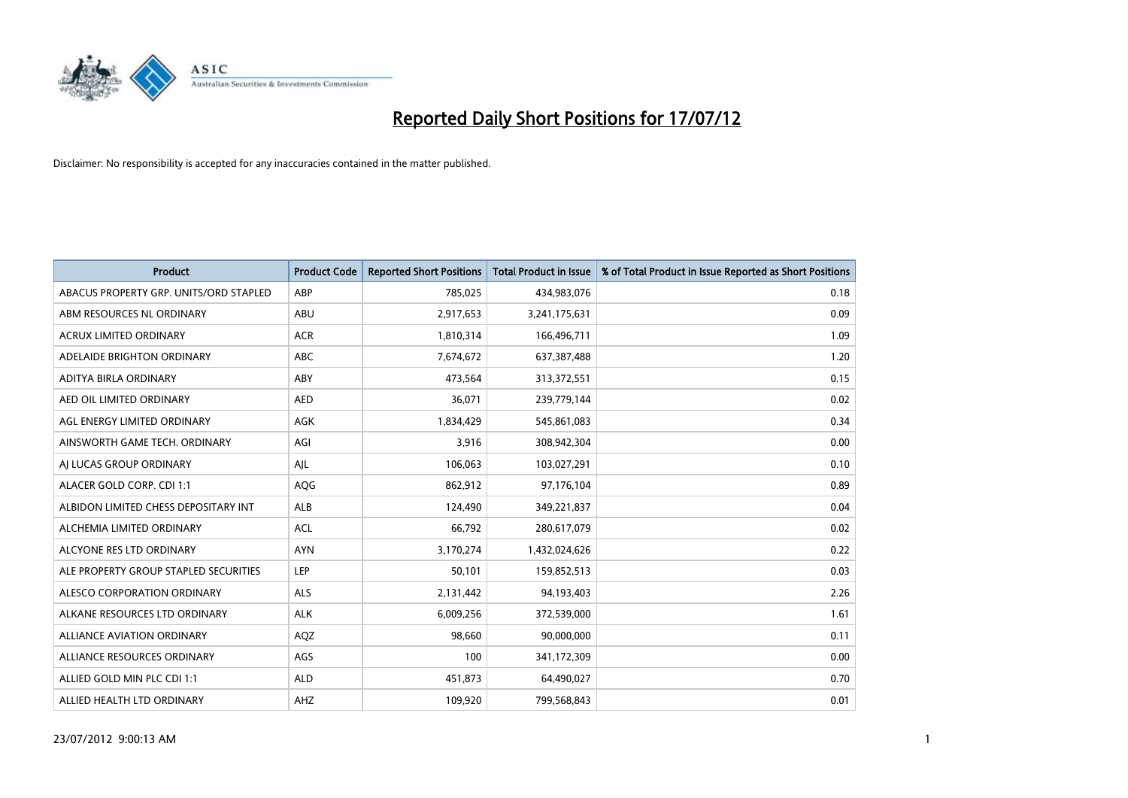

| <b>Product</b>                         | <b>Product Code</b> | <b>Reported Short Positions</b> | <b>Total Product in Issue</b> | % of Total Product in Issue Reported as Short Positions |
|----------------------------------------|---------------------|---------------------------------|-------------------------------|---------------------------------------------------------|
| ABACUS PROPERTY GRP. UNITS/ORD STAPLED | ABP                 | 785,025                         | 434,983,076                   | 0.18                                                    |
| ABM RESOURCES NL ORDINARY              | ABU                 | 2,917,653                       | 3,241,175,631                 | 0.09                                                    |
| <b>ACRUX LIMITED ORDINARY</b>          | <b>ACR</b>          | 1,810,314                       | 166,496,711                   | 1.09                                                    |
| ADELAIDE BRIGHTON ORDINARY             | <b>ABC</b>          | 7,674,672                       | 637,387,488                   | 1.20                                                    |
| ADITYA BIRLA ORDINARY                  | ABY                 | 473,564                         | 313,372,551                   | 0.15                                                    |
| AED OIL LIMITED ORDINARY               | <b>AED</b>          | 36,071                          | 239,779,144                   | 0.02                                                    |
| AGL ENERGY LIMITED ORDINARY            | <b>AGK</b>          | 1,834,429                       | 545,861,083                   | 0.34                                                    |
| AINSWORTH GAME TECH. ORDINARY          | AGI                 | 3,916                           | 308,942,304                   | 0.00                                                    |
| AI LUCAS GROUP ORDINARY                | AJL                 | 106,063                         | 103,027,291                   | 0.10                                                    |
| ALACER GOLD CORP. CDI 1:1              | AQG                 | 862,912                         | 97,176,104                    | 0.89                                                    |
| ALBIDON LIMITED CHESS DEPOSITARY INT   | ALB                 | 124,490                         | 349,221,837                   | 0.04                                                    |
| ALCHEMIA LIMITED ORDINARY              | <b>ACL</b>          | 66,792                          | 280,617,079                   | 0.02                                                    |
| ALCYONE RES LTD ORDINARY               | <b>AYN</b>          | 3,170,274                       | 1,432,024,626                 | 0.22                                                    |
| ALE PROPERTY GROUP STAPLED SECURITIES  | LEP                 | 50,101                          | 159,852,513                   | 0.03                                                    |
| ALESCO CORPORATION ORDINARY            | <b>ALS</b>          | 2,131,442                       | 94,193,403                    | 2.26                                                    |
| ALKANE RESOURCES LTD ORDINARY          | <b>ALK</b>          | 6,009,256                       | 372,539,000                   | 1.61                                                    |
| <b>ALLIANCE AVIATION ORDINARY</b>      | AQZ                 | 98,660                          | 90,000,000                    | 0.11                                                    |
| ALLIANCE RESOURCES ORDINARY            | AGS                 | 100                             | 341,172,309                   | 0.00                                                    |
| ALLIED GOLD MIN PLC CDI 1:1            | <b>ALD</b>          | 451,873                         | 64,490,027                    | 0.70                                                    |
| ALLIED HEALTH LTD ORDINARY             | AHZ                 | 109,920                         | 799,568,843                   | 0.01                                                    |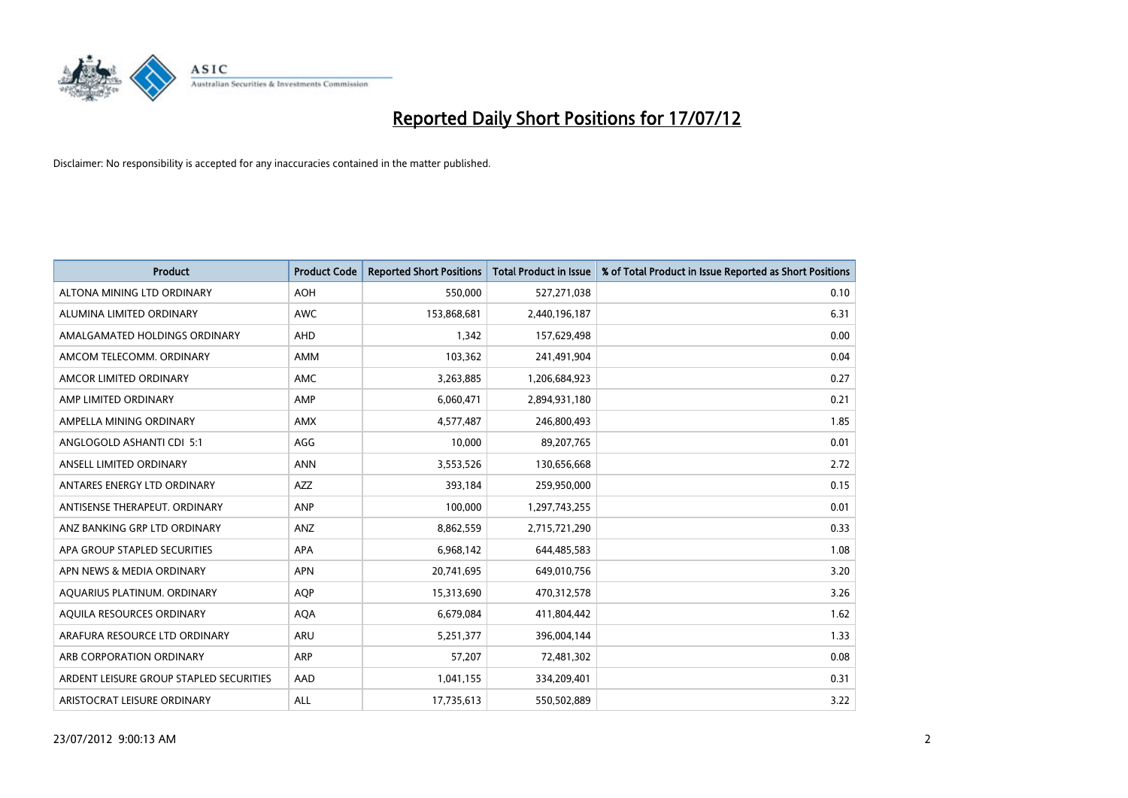

| <b>Product</b>                          | <b>Product Code</b> | <b>Reported Short Positions</b> | <b>Total Product in Issue</b> | % of Total Product in Issue Reported as Short Positions |
|-----------------------------------------|---------------------|---------------------------------|-------------------------------|---------------------------------------------------------|
| ALTONA MINING LTD ORDINARY              | <b>AOH</b>          | 550,000                         | 527,271,038                   | 0.10                                                    |
| ALUMINA LIMITED ORDINARY                | <b>AWC</b>          | 153,868,681                     | 2,440,196,187                 | 6.31                                                    |
| AMALGAMATED HOLDINGS ORDINARY           | <b>AHD</b>          | 1,342                           | 157,629,498                   | 0.00                                                    |
| AMCOM TELECOMM. ORDINARY                | <b>AMM</b>          | 103,362                         | 241,491,904                   | 0.04                                                    |
| AMCOR LIMITED ORDINARY                  | AMC                 | 3,263,885                       | 1,206,684,923                 | 0.27                                                    |
| AMP LIMITED ORDINARY                    | AMP                 | 6,060,471                       | 2,894,931,180                 | 0.21                                                    |
| AMPELLA MINING ORDINARY                 | <b>AMX</b>          | 4,577,487                       | 246,800,493                   | 1.85                                                    |
| ANGLOGOLD ASHANTI CDI 5:1               | AGG                 | 10,000                          | 89,207,765                    | 0.01                                                    |
| ANSELL LIMITED ORDINARY                 | <b>ANN</b>          | 3,553,526                       | 130,656,668                   | 2.72                                                    |
| ANTARES ENERGY LTD ORDINARY             | <b>AZZ</b>          | 393,184                         | 259,950,000                   | 0.15                                                    |
| ANTISENSE THERAPEUT. ORDINARY           | ANP                 | 100,000                         | 1,297,743,255                 | 0.01                                                    |
| ANZ BANKING GRP LTD ORDINARY            | ANZ                 | 8,862,559                       | 2,715,721,290                 | 0.33                                                    |
| APA GROUP STAPLED SECURITIES            | <b>APA</b>          | 6,968,142                       | 644,485,583                   | 1.08                                                    |
| APN NEWS & MEDIA ORDINARY               | <b>APN</b>          | 20,741,695                      | 649,010,756                   | 3.20                                                    |
| AQUARIUS PLATINUM. ORDINARY             | <b>AQP</b>          | 15,313,690                      | 470,312,578                   | 3.26                                                    |
| AQUILA RESOURCES ORDINARY               | <b>AQA</b>          | 6,679,084                       | 411,804,442                   | 1.62                                                    |
| ARAFURA RESOURCE LTD ORDINARY           | ARU                 | 5,251,377                       | 396,004,144                   | 1.33                                                    |
| ARB CORPORATION ORDINARY                | <b>ARP</b>          | 57,207                          | 72,481,302                    | 0.08                                                    |
| ARDENT LEISURE GROUP STAPLED SECURITIES | AAD                 | 1,041,155                       | 334,209,401                   | 0.31                                                    |
| ARISTOCRAT LEISURE ORDINARY             | ALL                 | 17,735,613                      | 550,502,889                   | 3.22                                                    |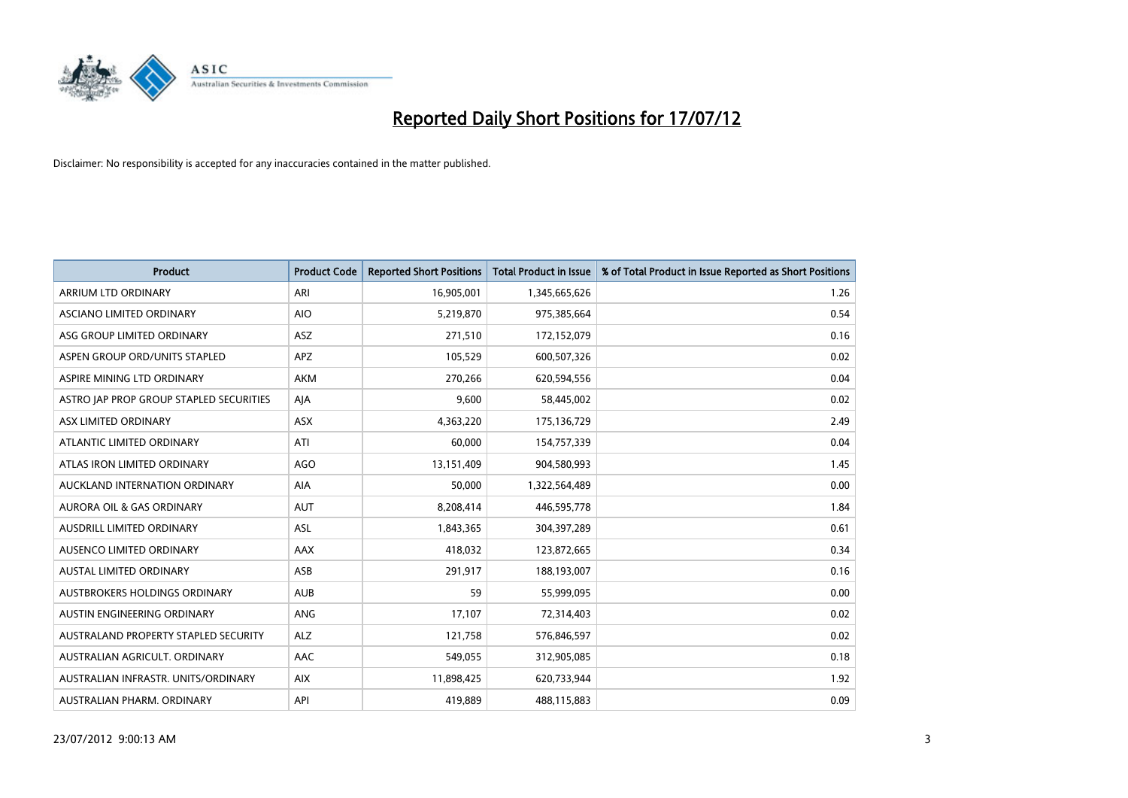

| <b>Product</b>                          | <b>Product Code</b> | <b>Reported Short Positions</b> | <b>Total Product in Issue</b> | % of Total Product in Issue Reported as Short Positions |
|-----------------------------------------|---------------------|---------------------------------|-------------------------------|---------------------------------------------------------|
| ARRIUM LTD ORDINARY                     | ARI                 | 16,905,001                      | 1,345,665,626                 | 1.26                                                    |
| ASCIANO LIMITED ORDINARY                | <b>AIO</b>          | 5,219,870                       | 975,385,664                   | 0.54                                                    |
| ASG GROUP LIMITED ORDINARY              | <b>ASZ</b>          | 271,510                         | 172,152,079                   | 0.16                                                    |
| ASPEN GROUP ORD/UNITS STAPLED           | APZ                 | 105,529                         | 600,507,326                   | 0.02                                                    |
| ASPIRE MINING LTD ORDINARY              | <b>AKM</b>          | 270,266                         | 620,594,556                   | 0.04                                                    |
| ASTRO JAP PROP GROUP STAPLED SECURITIES | AJA                 | 9,600                           | 58,445,002                    | 0.02                                                    |
| ASX LIMITED ORDINARY                    | <b>ASX</b>          | 4.363.220                       | 175,136,729                   | 2.49                                                    |
| ATLANTIC LIMITED ORDINARY               | ATI                 | 60,000                          | 154,757,339                   | 0.04                                                    |
| ATLAS IRON LIMITED ORDINARY             | <b>AGO</b>          | 13,151,409                      | 904,580,993                   | 1.45                                                    |
| AUCKLAND INTERNATION ORDINARY           | <b>AIA</b>          | 50,000                          | 1,322,564,489                 | 0.00                                                    |
| AURORA OIL & GAS ORDINARY               | <b>AUT</b>          | 8,208,414                       | 446,595,778                   | 1.84                                                    |
| <b>AUSDRILL LIMITED ORDINARY</b>        | <b>ASL</b>          | 1,843,365                       | 304,397,289                   | 0.61                                                    |
| AUSENCO LIMITED ORDINARY                | AAX                 | 418,032                         | 123,872,665                   | 0.34                                                    |
| <b>AUSTAL LIMITED ORDINARY</b>          | ASB                 | 291,917                         | 188,193,007                   | 0.16                                                    |
| AUSTBROKERS HOLDINGS ORDINARY           | <b>AUB</b>          | 59                              | 55,999,095                    | 0.00                                                    |
| AUSTIN ENGINEERING ORDINARY             | <b>ANG</b>          | 17,107                          | 72,314,403                    | 0.02                                                    |
| AUSTRALAND PROPERTY STAPLED SECURITY    | <b>ALZ</b>          | 121,758                         | 576,846,597                   | 0.02                                                    |
| AUSTRALIAN AGRICULT. ORDINARY           | AAC                 | 549,055                         | 312,905,085                   | 0.18                                                    |
| AUSTRALIAN INFRASTR, UNITS/ORDINARY     | <b>AIX</b>          | 11,898,425                      | 620,733,944                   | 1.92                                                    |
| AUSTRALIAN PHARM. ORDINARY              | API                 | 419,889                         | 488,115,883                   | 0.09                                                    |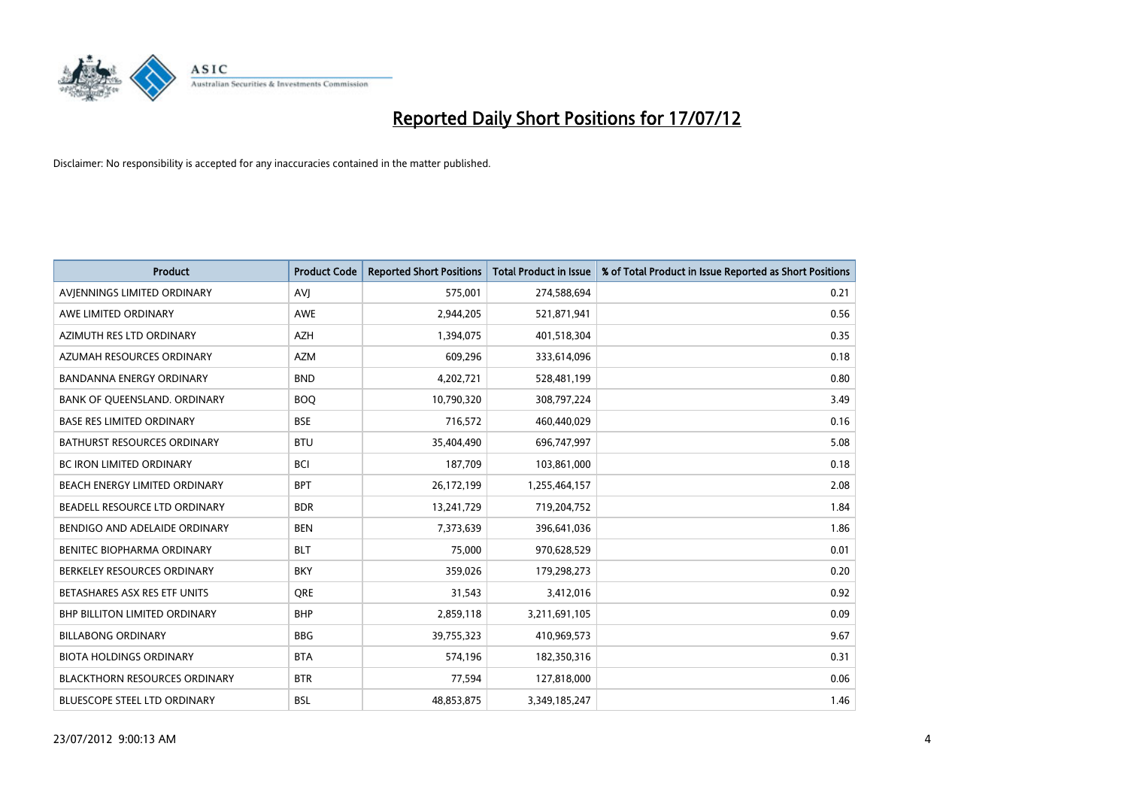

| <b>Product</b>                       | <b>Product Code</b> | <b>Reported Short Positions</b> | <b>Total Product in Issue</b> | % of Total Product in Issue Reported as Short Positions |
|--------------------------------------|---------------------|---------------------------------|-------------------------------|---------------------------------------------------------|
| AVIENNINGS LIMITED ORDINARY          | <b>AVI</b>          | 575,001                         | 274,588,694                   | 0.21                                                    |
| AWE LIMITED ORDINARY                 | <b>AWE</b>          | 2,944,205                       | 521,871,941                   | 0.56                                                    |
| AZIMUTH RES LTD ORDINARY             | <b>AZH</b>          | 1,394,075                       | 401,518,304                   | 0.35                                                    |
| AZUMAH RESOURCES ORDINARY            | <b>AZM</b>          | 609,296                         | 333,614,096                   | 0.18                                                    |
| <b>BANDANNA ENERGY ORDINARY</b>      | <b>BND</b>          | 4,202,721                       | 528,481,199                   | 0.80                                                    |
| BANK OF QUEENSLAND. ORDINARY         | <b>BOQ</b>          | 10,790,320                      | 308,797,224                   | 3.49                                                    |
| <b>BASE RES LIMITED ORDINARY</b>     | <b>BSE</b>          | 716,572                         | 460,440,029                   | 0.16                                                    |
| <b>BATHURST RESOURCES ORDINARY</b>   | <b>BTU</b>          | 35,404,490                      | 696,747,997                   | 5.08                                                    |
| <b>BC IRON LIMITED ORDINARY</b>      | <b>BCI</b>          | 187,709                         | 103,861,000                   | 0.18                                                    |
| BEACH ENERGY LIMITED ORDINARY        | <b>BPT</b>          | 26,172,199                      | 1,255,464,157                 | 2.08                                                    |
| BEADELL RESOURCE LTD ORDINARY        | <b>BDR</b>          | 13,241,729                      | 719,204,752                   | 1.84                                                    |
| BENDIGO AND ADELAIDE ORDINARY        | <b>BEN</b>          | 7,373,639                       | 396,641,036                   | 1.86                                                    |
| BENITEC BIOPHARMA ORDINARY           | <b>BLT</b>          | 75,000                          | 970,628,529                   | 0.01                                                    |
| BERKELEY RESOURCES ORDINARY          | <b>BKY</b>          | 359,026                         | 179,298,273                   | 0.20                                                    |
| BETASHARES ASX RES ETF UNITS         | <b>ORE</b>          | 31,543                          | 3,412,016                     | 0.92                                                    |
| <b>BHP BILLITON LIMITED ORDINARY</b> | <b>BHP</b>          | 2,859,118                       | 3,211,691,105                 | 0.09                                                    |
| <b>BILLABONG ORDINARY</b>            | <b>BBG</b>          | 39,755,323                      | 410,969,573                   | 9.67                                                    |
| <b>BIOTA HOLDINGS ORDINARY</b>       | <b>BTA</b>          | 574,196                         | 182,350,316                   | 0.31                                                    |
| <b>BLACKTHORN RESOURCES ORDINARY</b> | <b>BTR</b>          | 77,594                          | 127,818,000                   | 0.06                                                    |
| BLUESCOPE STEEL LTD ORDINARY         | <b>BSL</b>          | 48,853,875                      | 3,349,185,247                 | 1.46                                                    |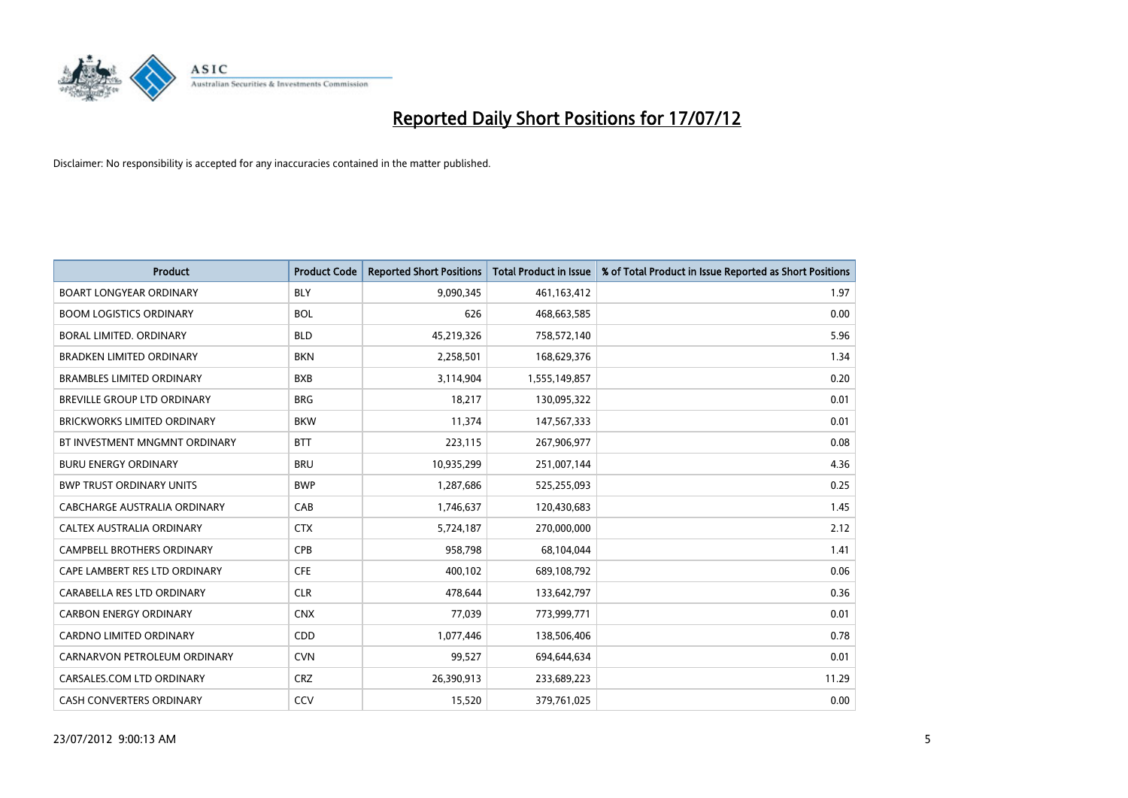

| <b>Product</b>                     | <b>Product Code</b> | <b>Reported Short Positions</b> | <b>Total Product in Issue</b> | % of Total Product in Issue Reported as Short Positions |
|------------------------------------|---------------------|---------------------------------|-------------------------------|---------------------------------------------------------|
| <b>BOART LONGYEAR ORDINARY</b>     | <b>BLY</b>          | 9,090,345                       | 461,163,412                   | 1.97                                                    |
| <b>BOOM LOGISTICS ORDINARY</b>     | <b>BOL</b>          | 626                             | 468,663,585                   | 0.00                                                    |
| <b>BORAL LIMITED, ORDINARY</b>     | <b>BLD</b>          | 45,219,326                      | 758,572,140                   | 5.96                                                    |
| <b>BRADKEN LIMITED ORDINARY</b>    | <b>BKN</b>          | 2,258,501                       | 168,629,376                   | 1.34                                                    |
| <b>BRAMBLES LIMITED ORDINARY</b>   | <b>BXB</b>          | 3,114,904                       | 1,555,149,857                 | 0.20                                                    |
| BREVILLE GROUP LTD ORDINARY        | <b>BRG</b>          | 18,217                          | 130,095,322                   | 0.01                                                    |
| <b>BRICKWORKS LIMITED ORDINARY</b> | <b>BKW</b>          | 11,374                          | 147,567,333                   | 0.01                                                    |
| BT INVESTMENT MNGMNT ORDINARY      | <b>BTT</b>          | 223,115                         | 267,906,977                   | 0.08                                                    |
| <b>BURU ENERGY ORDINARY</b>        | <b>BRU</b>          | 10,935,299                      | 251,007,144                   | 4.36                                                    |
| <b>BWP TRUST ORDINARY UNITS</b>    | <b>BWP</b>          | 1,287,686                       | 525,255,093                   | 0.25                                                    |
| CABCHARGE AUSTRALIA ORDINARY       | CAB                 | 1,746,637                       | 120,430,683                   | 1.45                                                    |
| <b>CALTEX AUSTRALIA ORDINARY</b>   | <b>CTX</b>          | 5,724,187                       | 270,000,000                   | 2.12                                                    |
| CAMPBELL BROTHERS ORDINARY         | <b>CPB</b>          | 958,798                         | 68,104,044                    | 1.41                                                    |
| CAPE LAMBERT RES LTD ORDINARY      | <b>CFE</b>          | 400,102                         | 689,108,792                   | 0.06                                                    |
| CARABELLA RES LTD ORDINARY         | <b>CLR</b>          | 478,644                         | 133,642,797                   | 0.36                                                    |
| <b>CARBON ENERGY ORDINARY</b>      | <b>CNX</b>          | 77,039                          | 773,999,771                   | 0.01                                                    |
| CARDNO LIMITED ORDINARY            | CDD                 | 1,077,446                       | 138,506,406                   | 0.78                                                    |
| CARNARVON PETROLEUM ORDINARY       | <b>CVN</b>          | 99,527                          | 694,644,634                   | 0.01                                                    |
| CARSALES.COM LTD ORDINARY          | <b>CRZ</b>          | 26,390,913                      | 233,689,223                   | 11.29                                                   |
| CASH CONVERTERS ORDINARY           | CCV                 | 15,520                          | 379,761,025                   | 0.00                                                    |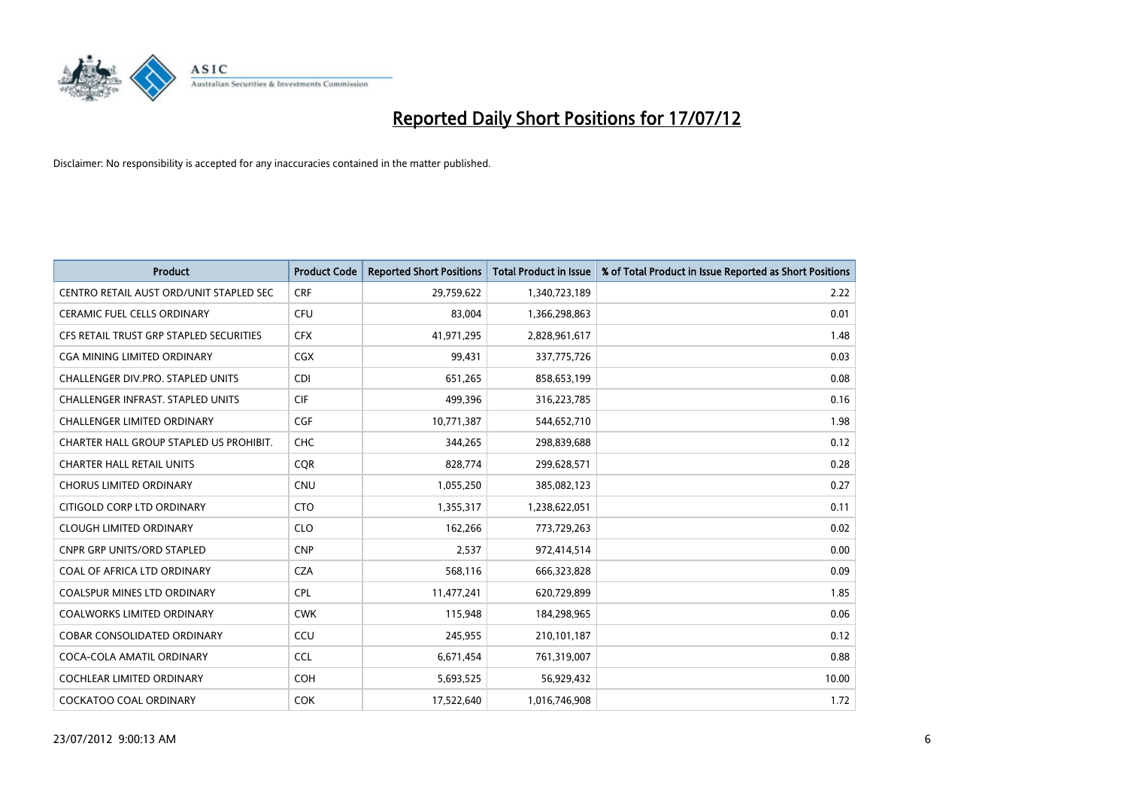

| <b>Product</b>                           | <b>Product Code</b> | <b>Reported Short Positions</b> | <b>Total Product in Issue</b> | % of Total Product in Issue Reported as Short Positions |
|------------------------------------------|---------------------|---------------------------------|-------------------------------|---------------------------------------------------------|
| CENTRO RETAIL AUST ORD/UNIT STAPLED SEC  | <b>CRF</b>          | 29,759,622                      | 1,340,723,189                 | 2.22                                                    |
| <b>CERAMIC FUEL CELLS ORDINARY</b>       | CFU                 | 83,004                          | 1,366,298,863                 | 0.01                                                    |
| CFS RETAIL TRUST GRP STAPLED SECURITIES  | <b>CFX</b>          | 41,971,295                      | 2,828,961,617                 | 1.48                                                    |
| CGA MINING LIMITED ORDINARY              | <b>CGX</b>          | 99,431                          | 337,775,726                   | 0.03                                                    |
| CHALLENGER DIV.PRO. STAPLED UNITS        | <b>CDI</b>          | 651.265                         | 858,653,199                   | 0.08                                                    |
| <b>CHALLENGER INFRAST, STAPLED UNITS</b> | <b>CIF</b>          | 499,396                         | 316,223,785                   | 0.16                                                    |
| <b>CHALLENGER LIMITED ORDINARY</b>       | <b>CGF</b>          | 10,771,387                      | 544,652,710                   | 1.98                                                    |
| CHARTER HALL GROUP STAPLED US PROHIBIT.  | <b>CHC</b>          | 344,265                         | 298,839,688                   | 0.12                                                    |
| <b>CHARTER HALL RETAIL UNITS</b>         | <b>CQR</b>          | 828,774                         | 299,628,571                   | 0.28                                                    |
| <b>CHORUS LIMITED ORDINARY</b>           | <b>CNU</b>          | 1,055,250                       | 385,082,123                   | 0.27                                                    |
| CITIGOLD CORP LTD ORDINARY               | <b>CTO</b>          | 1,355,317                       | 1,238,622,051                 | 0.11                                                    |
| <b>CLOUGH LIMITED ORDINARY</b>           | <b>CLO</b>          | 162,266                         | 773,729,263                   | 0.02                                                    |
| <b>CNPR GRP UNITS/ORD STAPLED</b>        | <b>CNP</b>          | 2,537                           | 972,414,514                   | 0.00                                                    |
| COAL OF AFRICA LTD ORDINARY              | <b>CZA</b>          | 568,116                         | 666,323,828                   | 0.09                                                    |
| <b>COALSPUR MINES LTD ORDINARY</b>       | <b>CPL</b>          | 11,477,241                      | 620,729,899                   | 1.85                                                    |
| <b>COALWORKS LIMITED ORDINARY</b>        | <b>CWK</b>          | 115,948                         | 184,298,965                   | 0.06                                                    |
| <b>COBAR CONSOLIDATED ORDINARY</b>       | CCU                 | 245,955                         | 210,101,187                   | 0.12                                                    |
| COCA-COLA AMATIL ORDINARY                | <b>CCL</b>          | 6,671,454                       | 761,319,007                   | 0.88                                                    |
| <b>COCHLEAR LIMITED ORDINARY</b>         | <b>COH</b>          | 5,693,525                       | 56,929,432                    | 10.00                                                   |
| <b>COCKATOO COAL ORDINARY</b>            | <b>COK</b>          | 17,522,640                      | 1,016,746,908                 | 1.72                                                    |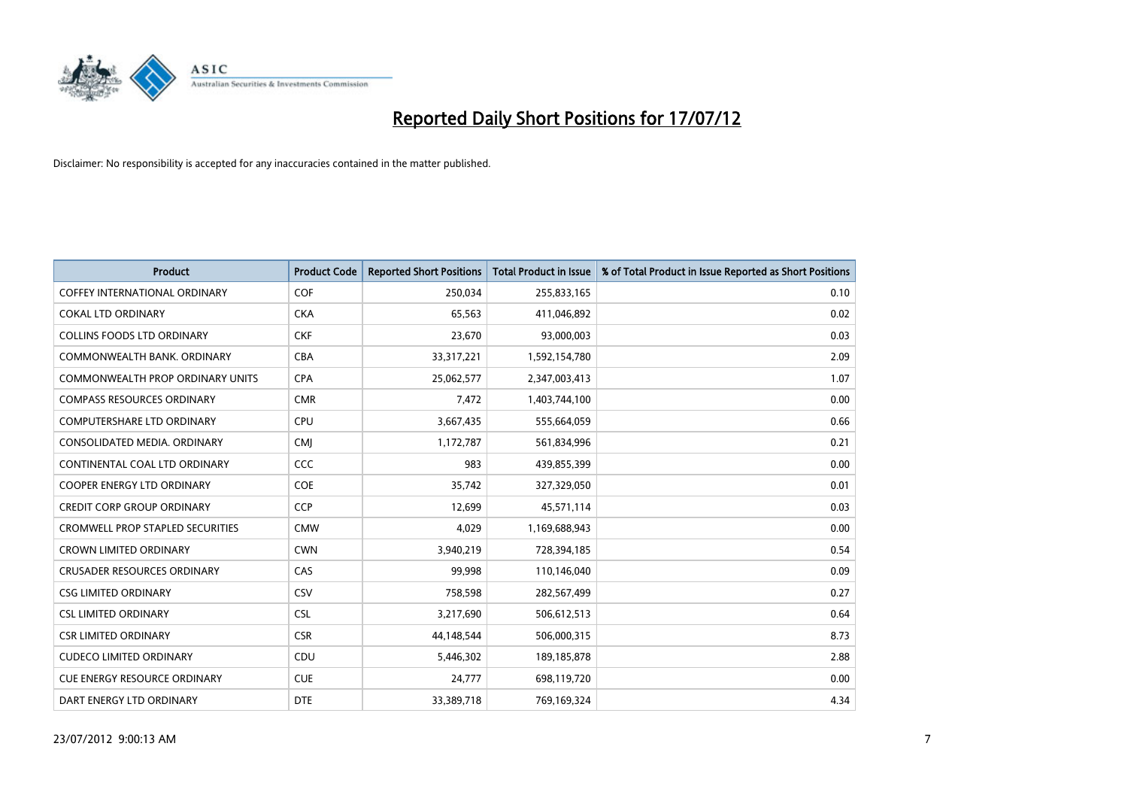

| <b>Product</b>                          | <b>Product Code</b> | <b>Reported Short Positions</b> | <b>Total Product in Issue</b> | % of Total Product in Issue Reported as Short Positions |
|-----------------------------------------|---------------------|---------------------------------|-------------------------------|---------------------------------------------------------|
| <b>COFFEY INTERNATIONAL ORDINARY</b>    | <b>COF</b>          | 250,034                         | 255,833,165                   | 0.10                                                    |
| <b>COKAL LTD ORDINARY</b>               | <b>CKA</b>          | 65,563                          | 411,046,892                   | 0.02                                                    |
| <b>COLLINS FOODS LTD ORDINARY</b>       | <b>CKF</b>          | 23,670                          | 93,000,003                    | 0.03                                                    |
| COMMONWEALTH BANK, ORDINARY             | <b>CBA</b>          | 33,317,221                      | 1,592,154,780                 | 2.09                                                    |
| COMMONWEALTH PROP ORDINARY UNITS        | <b>CPA</b>          | 25,062,577                      | 2,347,003,413                 | 1.07                                                    |
| <b>COMPASS RESOURCES ORDINARY</b>       | <b>CMR</b>          | 7,472                           | 1,403,744,100                 | 0.00                                                    |
| <b>COMPUTERSHARE LTD ORDINARY</b>       | <b>CPU</b>          | 3,667,435                       | 555,664,059                   | 0.66                                                    |
| CONSOLIDATED MEDIA. ORDINARY            | <b>CMI</b>          | 1,172,787                       | 561,834,996                   | 0.21                                                    |
| CONTINENTAL COAL LTD ORDINARY           | CCC                 | 983                             | 439,855,399                   | 0.00                                                    |
| <b>COOPER ENERGY LTD ORDINARY</b>       | <b>COE</b>          | 35,742                          | 327,329,050                   | 0.01                                                    |
| <b>CREDIT CORP GROUP ORDINARY</b>       | <b>CCP</b>          | 12,699                          | 45,571,114                    | 0.03                                                    |
| <b>CROMWELL PROP STAPLED SECURITIES</b> | <b>CMW</b>          | 4,029                           | 1,169,688,943                 | 0.00                                                    |
| <b>CROWN LIMITED ORDINARY</b>           | <b>CWN</b>          | 3,940,219                       | 728,394,185                   | 0.54                                                    |
| <b>CRUSADER RESOURCES ORDINARY</b>      | CAS                 | 99,998                          | 110,146,040                   | 0.09                                                    |
| <b>CSG LIMITED ORDINARY</b>             | CSV                 | 758,598                         | 282,567,499                   | 0.27                                                    |
| <b>CSL LIMITED ORDINARY</b>             | <b>CSL</b>          | 3,217,690                       | 506,612,513                   | 0.64                                                    |
| <b>CSR LIMITED ORDINARY</b>             | <b>CSR</b>          | 44,148,544                      | 506,000,315                   | 8.73                                                    |
| <b>CUDECO LIMITED ORDINARY</b>          | CDU                 | 5,446,302                       | 189, 185, 878                 | 2.88                                                    |
| <b>CUE ENERGY RESOURCE ORDINARY</b>     | <b>CUE</b>          | 24,777                          | 698,119,720                   | 0.00                                                    |
| DART ENERGY LTD ORDINARY                | <b>DTE</b>          | 33,389,718                      | 769,169,324                   | 4.34                                                    |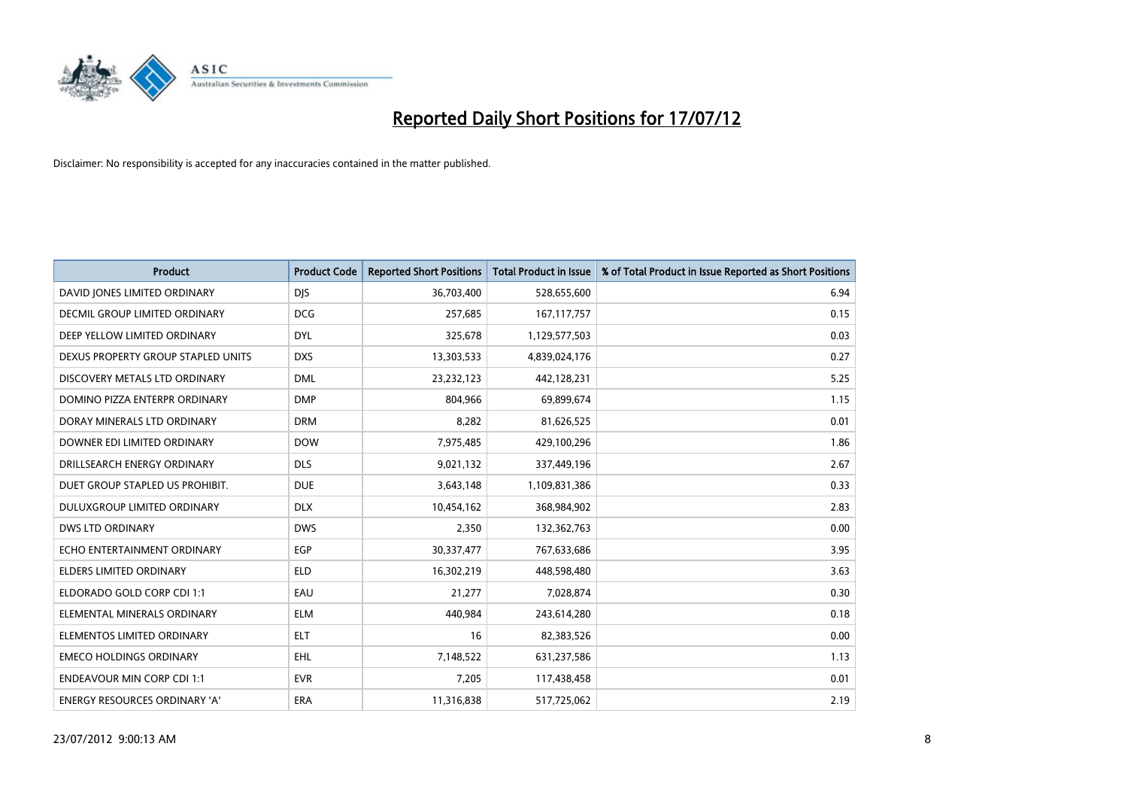

| <b>Product</b>                       | <b>Product Code</b> | <b>Reported Short Positions</b> | <b>Total Product in Issue</b> | % of Total Product in Issue Reported as Short Positions |
|--------------------------------------|---------------------|---------------------------------|-------------------------------|---------------------------------------------------------|
| DAVID JONES LIMITED ORDINARY         | <b>DJS</b>          | 36,703,400                      | 528,655,600                   | 6.94                                                    |
| <b>DECMIL GROUP LIMITED ORDINARY</b> | <b>DCG</b>          | 257,685                         | 167, 117, 757                 | 0.15                                                    |
| DEEP YELLOW LIMITED ORDINARY         | <b>DYL</b>          | 325,678                         | 1,129,577,503                 | 0.03                                                    |
| DEXUS PROPERTY GROUP STAPLED UNITS   | <b>DXS</b>          | 13,303,533                      | 4,839,024,176                 | 0.27                                                    |
| DISCOVERY METALS LTD ORDINARY        | <b>DML</b>          | 23,232,123                      | 442,128,231                   | 5.25                                                    |
| DOMINO PIZZA ENTERPR ORDINARY        | <b>DMP</b>          | 804,966                         | 69,899,674                    | 1.15                                                    |
| DORAY MINERALS LTD ORDINARY          | <b>DRM</b>          | 8,282                           | 81,626,525                    | 0.01                                                    |
| DOWNER EDI LIMITED ORDINARY          | <b>DOW</b>          | 7,975,485                       | 429,100,296                   | 1.86                                                    |
| DRILLSEARCH ENERGY ORDINARY          | <b>DLS</b>          | 9,021,132                       | 337,449,196                   | 2.67                                                    |
| DUET GROUP STAPLED US PROHIBIT.      | <b>DUE</b>          | 3,643,148                       | 1,109,831,386                 | 0.33                                                    |
| DULUXGROUP LIMITED ORDINARY          | <b>DLX</b>          | 10,454,162                      | 368,984,902                   | 2.83                                                    |
| <b>DWS LTD ORDINARY</b>              | <b>DWS</b>          | 2,350                           | 132,362,763                   | 0.00                                                    |
| ECHO ENTERTAINMENT ORDINARY          | EGP                 | 30,337,477                      | 767,633,686                   | 3.95                                                    |
| <b>ELDERS LIMITED ORDINARY</b>       | <b>ELD</b>          | 16,302,219                      | 448,598,480                   | 3.63                                                    |
| ELDORADO GOLD CORP CDI 1:1           | EAU                 | 21,277                          | 7,028,874                     | 0.30                                                    |
| ELEMENTAL MINERALS ORDINARY          | <b>ELM</b>          | 440,984                         | 243,614,280                   | 0.18                                                    |
| ELEMENTOS LIMITED ORDINARY           | <b>ELT</b>          | 16                              | 82,383,526                    | 0.00                                                    |
| <b>EMECO HOLDINGS ORDINARY</b>       | <b>EHL</b>          | 7,148,522                       | 631,237,586                   | 1.13                                                    |
| <b>ENDEAVOUR MIN CORP CDI 1:1</b>    | <b>EVR</b>          | 7,205                           | 117,438,458                   | 0.01                                                    |
| ENERGY RESOURCES ORDINARY 'A'        | ERA                 | 11,316,838                      | 517,725,062                   | 2.19                                                    |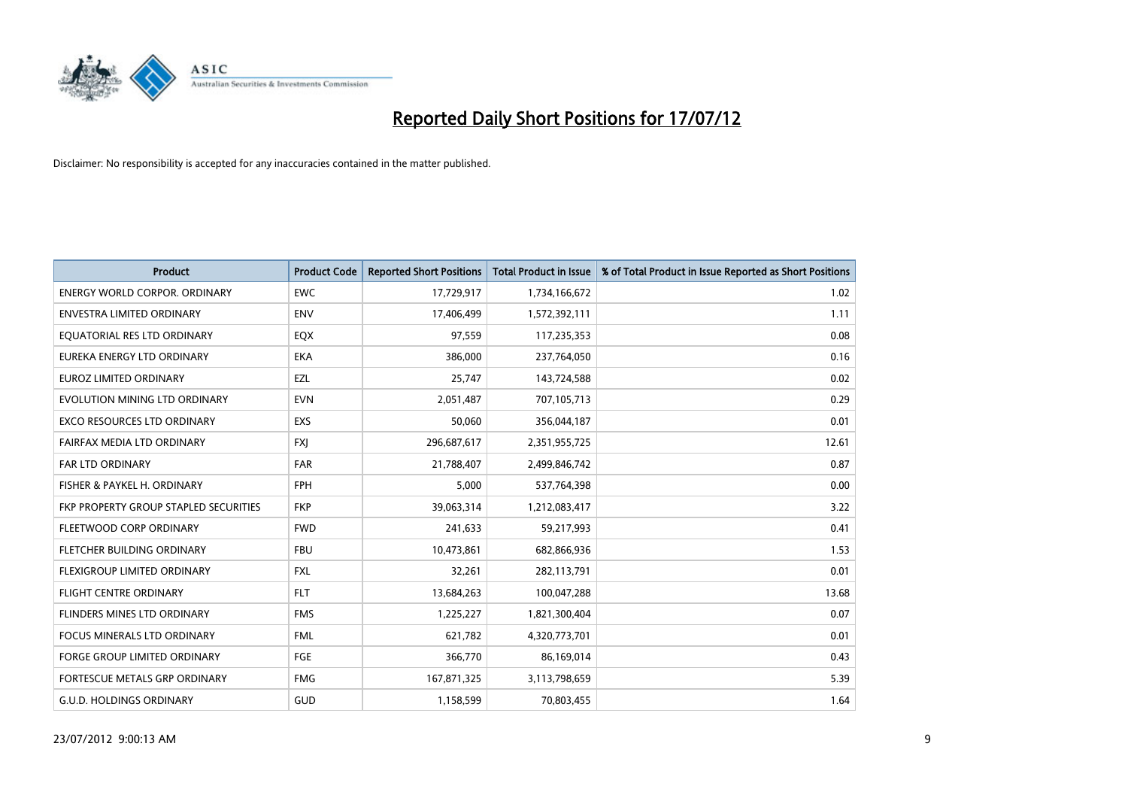

| <b>Product</b>                               | <b>Product Code</b> | <b>Reported Short Positions</b> | <b>Total Product in Issue</b> | % of Total Product in Issue Reported as Short Positions |
|----------------------------------------------|---------------------|---------------------------------|-------------------------------|---------------------------------------------------------|
| <b>ENERGY WORLD CORPOR, ORDINARY</b>         | <b>EWC</b>          | 17,729,917                      | 1,734,166,672                 | 1.02                                                    |
| <b>ENVESTRA LIMITED ORDINARY</b>             | <b>ENV</b>          | 17,406,499                      | 1,572,392,111                 | 1.11                                                    |
| EQUATORIAL RES LTD ORDINARY                  | EQX                 | 97,559                          | 117,235,353                   | 0.08                                                    |
| EUREKA ENERGY LTD ORDINARY                   | <b>EKA</b>          | 386,000                         | 237,764,050                   | 0.16                                                    |
| <b>EUROZ LIMITED ORDINARY</b>                | EZL                 | 25,747                          | 143,724,588                   | 0.02                                                    |
| EVOLUTION MINING LTD ORDINARY                | <b>EVN</b>          | 2,051,487                       | 707,105,713                   | 0.29                                                    |
| <b>EXCO RESOURCES LTD ORDINARY</b>           | <b>EXS</b>          | 50.060                          | 356,044,187                   | 0.01                                                    |
| FAIRFAX MEDIA LTD ORDINARY                   | <b>FXI</b>          | 296,687,617                     | 2,351,955,725                 | 12.61                                                   |
| FAR LTD ORDINARY                             | <b>FAR</b>          | 21,788,407                      | 2,499,846,742                 | 0.87                                                    |
| FISHER & PAYKEL H. ORDINARY                  | <b>FPH</b>          | 5.000                           | 537,764,398                   | 0.00                                                    |
| <b>FKP PROPERTY GROUP STAPLED SECURITIES</b> | <b>FKP</b>          | 39,063,314                      | 1,212,083,417                 | 3.22                                                    |
| FLEETWOOD CORP ORDINARY                      | <b>FWD</b>          | 241,633                         | 59,217,993                    | 0.41                                                    |
| FLETCHER BUILDING ORDINARY                   | <b>FBU</b>          | 10,473,861                      | 682,866,936                   | 1.53                                                    |
| FLEXIGROUP LIMITED ORDINARY                  | <b>FXL</b>          | 32,261                          | 282,113,791                   | 0.01                                                    |
| FLIGHT CENTRE ORDINARY                       | <b>FLT</b>          | 13,684,263                      | 100,047,288                   | 13.68                                                   |
| FLINDERS MINES LTD ORDINARY                  | <b>FMS</b>          | 1,225,227                       | 1,821,300,404                 | 0.07                                                    |
| <b>FOCUS MINERALS LTD ORDINARY</b>           | <b>FML</b>          | 621,782                         | 4,320,773,701                 | 0.01                                                    |
| FORGE GROUP LIMITED ORDINARY                 | FGE                 | 366,770                         | 86,169,014                    | 0.43                                                    |
| <b>FORTESCUE METALS GRP ORDINARY</b>         | <b>FMG</b>          | 167,871,325                     | 3,113,798,659                 | 5.39                                                    |
| <b>G.U.D. HOLDINGS ORDINARY</b>              | GUD                 | 1,158,599                       | 70,803,455                    | 1.64                                                    |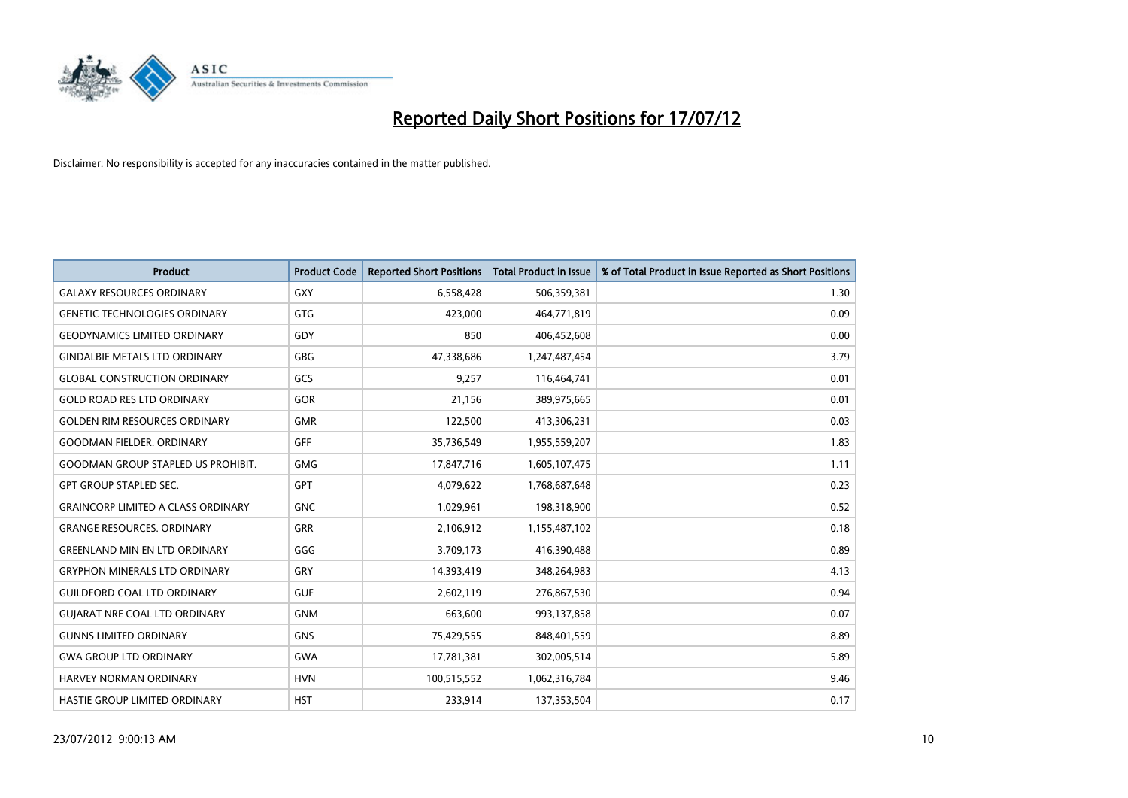

| <b>Product</b>                            | <b>Product Code</b> | <b>Reported Short Positions</b> | <b>Total Product in Issue</b> | % of Total Product in Issue Reported as Short Positions |
|-------------------------------------------|---------------------|---------------------------------|-------------------------------|---------------------------------------------------------|
| <b>GALAXY RESOURCES ORDINARY</b>          | <b>GXY</b>          | 6,558,428                       | 506,359,381                   | 1.30                                                    |
| <b>GENETIC TECHNOLOGIES ORDINARY</b>      | <b>GTG</b>          | 423,000                         | 464,771,819                   | 0.09                                                    |
| <b>GEODYNAMICS LIMITED ORDINARY</b>       | GDY                 | 850                             | 406,452,608                   | 0.00                                                    |
| <b>GINDALBIE METALS LTD ORDINARY</b>      | <b>GBG</b>          | 47,338,686                      | 1,247,487,454                 | 3.79                                                    |
| <b>GLOBAL CONSTRUCTION ORDINARY</b>       | GCS                 | 9,257                           | 116,464,741                   | 0.01                                                    |
| <b>GOLD ROAD RES LTD ORDINARY</b>         | GOR                 | 21,156                          | 389,975,665                   | 0.01                                                    |
| <b>GOLDEN RIM RESOURCES ORDINARY</b>      | <b>GMR</b>          | 122,500                         | 413,306,231                   | 0.03                                                    |
| <b>GOODMAN FIELDER. ORDINARY</b>          | <b>GFF</b>          | 35,736,549                      | 1,955,559,207                 | 1.83                                                    |
| <b>GOODMAN GROUP STAPLED US PROHIBIT.</b> | <b>GMG</b>          | 17,847,716                      | 1,605,107,475                 | 1.11                                                    |
| <b>GPT GROUP STAPLED SEC.</b>             | <b>GPT</b>          | 4,079,622                       | 1,768,687,648                 | 0.23                                                    |
| <b>GRAINCORP LIMITED A CLASS ORDINARY</b> | <b>GNC</b>          | 1,029,961                       | 198,318,900                   | 0.52                                                    |
| <b>GRANGE RESOURCES, ORDINARY</b>         | <b>GRR</b>          | 2,106,912                       | 1,155,487,102                 | 0.18                                                    |
| <b>GREENLAND MIN EN LTD ORDINARY</b>      | GGG                 | 3,709,173                       | 416,390,488                   | 0.89                                                    |
| <b>GRYPHON MINERALS LTD ORDINARY</b>      | GRY                 | 14,393,419                      | 348,264,983                   | 4.13                                                    |
| <b>GUILDFORD COAL LTD ORDINARY</b>        | <b>GUF</b>          | 2,602,119                       | 276,867,530                   | 0.94                                                    |
| <b>GUIARAT NRE COAL LTD ORDINARY</b>      | <b>GNM</b>          | 663,600                         | 993,137,858                   | 0.07                                                    |
| <b>GUNNS LIMITED ORDINARY</b>             | <b>GNS</b>          | 75,429,555                      | 848,401,559                   | 8.89                                                    |
| <b>GWA GROUP LTD ORDINARY</b>             | <b>GWA</b>          | 17,781,381                      | 302,005,514                   | 5.89                                                    |
| <b>HARVEY NORMAN ORDINARY</b>             | <b>HVN</b>          | 100,515,552                     | 1,062,316,784                 | 9.46                                                    |
| HASTIE GROUP LIMITED ORDINARY             | <b>HST</b>          | 233,914                         | 137,353,504                   | 0.17                                                    |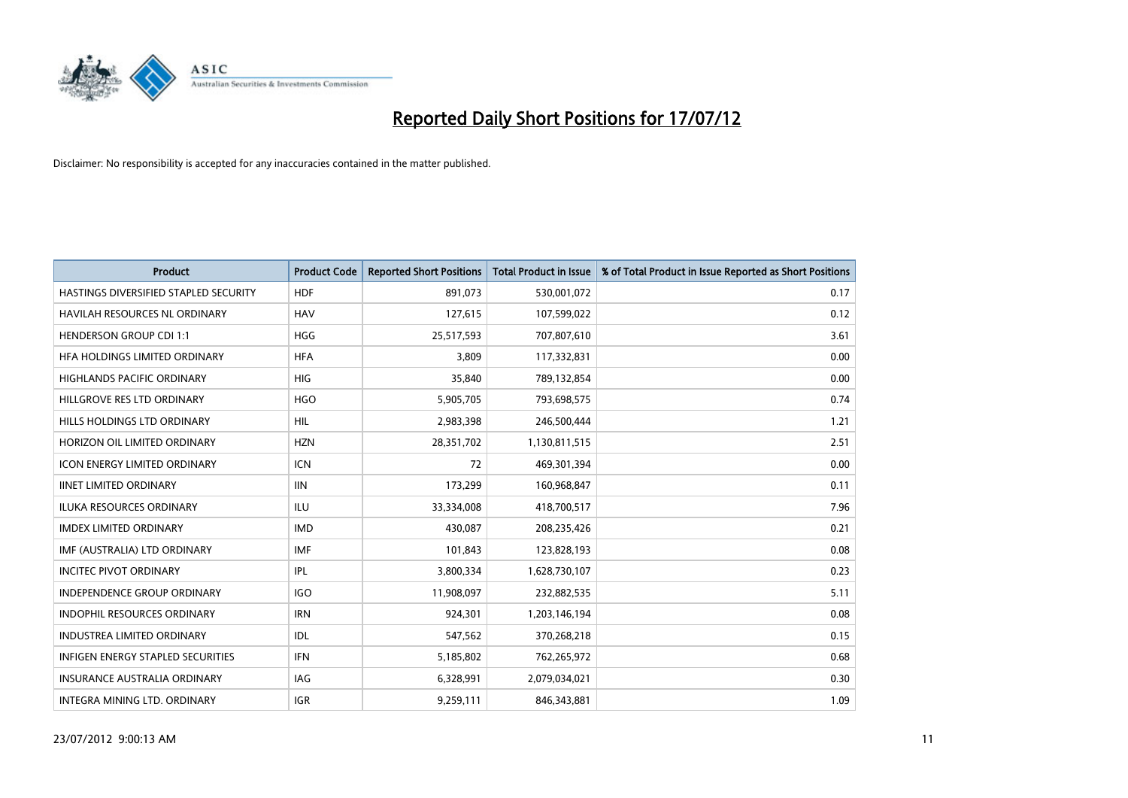

| <b>Product</b>                        | <b>Product Code</b> | <b>Reported Short Positions</b> | <b>Total Product in Issue</b> | % of Total Product in Issue Reported as Short Positions |
|---------------------------------------|---------------------|---------------------------------|-------------------------------|---------------------------------------------------------|
| HASTINGS DIVERSIFIED STAPLED SECURITY | <b>HDF</b>          | 891,073                         | 530,001,072                   | 0.17                                                    |
| HAVILAH RESOURCES NL ORDINARY         | <b>HAV</b>          | 127,615                         | 107,599,022                   | 0.12                                                    |
| <b>HENDERSON GROUP CDI 1:1</b>        | <b>HGG</b>          | 25,517,593                      | 707,807,610                   | 3.61                                                    |
| HFA HOLDINGS LIMITED ORDINARY         | <b>HFA</b>          | 3,809                           | 117,332,831                   | 0.00                                                    |
| <b>HIGHLANDS PACIFIC ORDINARY</b>     | <b>HIG</b>          | 35,840                          | 789,132,854                   | 0.00                                                    |
| HILLGROVE RES LTD ORDINARY            | <b>HGO</b>          | 5,905,705                       | 793,698,575                   | 0.74                                                    |
| HILLS HOLDINGS LTD ORDINARY           | <b>HIL</b>          | 2,983,398                       | 246,500,444                   | 1.21                                                    |
| HORIZON OIL LIMITED ORDINARY          | <b>HZN</b>          | 28,351,702                      | 1,130,811,515                 | 2.51                                                    |
| ICON ENERGY LIMITED ORDINARY          | <b>ICN</b>          | 72                              | 469,301,394                   | 0.00                                                    |
| <b>IINET LIMITED ORDINARY</b>         | <b>IIN</b>          | 173,299                         | 160,968,847                   | 0.11                                                    |
| ILUKA RESOURCES ORDINARY              | ILU                 | 33,334,008                      | 418,700,517                   | 7.96                                                    |
| <b>IMDEX LIMITED ORDINARY</b>         | <b>IMD</b>          | 430,087                         | 208,235,426                   | 0.21                                                    |
| IMF (AUSTRALIA) LTD ORDINARY          | <b>IMF</b>          | 101,843                         | 123,828,193                   | 0.08                                                    |
| <b>INCITEC PIVOT ORDINARY</b>         | <b>IPL</b>          | 3,800,334                       | 1,628,730,107                 | 0.23                                                    |
| <b>INDEPENDENCE GROUP ORDINARY</b>    | <b>IGO</b>          | 11,908,097                      | 232,882,535                   | 5.11                                                    |
| INDOPHIL RESOURCES ORDINARY           | <b>IRN</b>          | 924,301                         | 1,203,146,194                 | 0.08                                                    |
| <b>INDUSTREA LIMITED ORDINARY</b>     | <b>IDL</b>          | 547,562                         | 370,268,218                   | 0.15                                                    |
| INFIGEN ENERGY STAPLED SECURITIES     | <b>IFN</b>          | 5,185,802                       | 762,265,972                   | 0.68                                                    |
| <b>INSURANCE AUSTRALIA ORDINARY</b>   | IAG                 | 6,328,991                       | 2,079,034,021                 | 0.30                                                    |
| INTEGRA MINING LTD. ORDINARY          | <b>IGR</b>          | 9,259,111                       | 846,343,881                   | 1.09                                                    |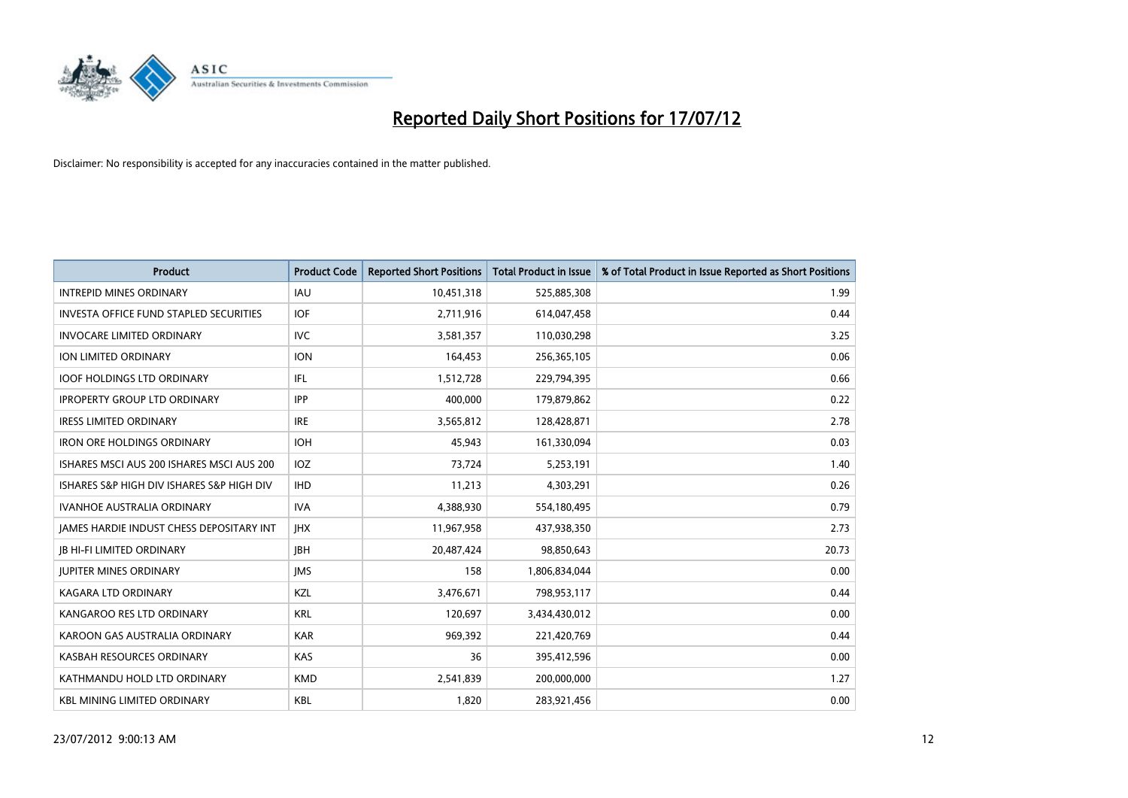

| <b>Product</b>                                | <b>Product Code</b> | <b>Reported Short Positions</b> | <b>Total Product in Issue</b> | % of Total Product in Issue Reported as Short Positions |
|-----------------------------------------------|---------------------|---------------------------------|-------------------------------|---------------------------------------------------------|
| <b>INTREPID MINES ORDINARY</b>                | <b>IAU</b>          | 10,451,318                      | 525,885,308                   | 1.99                                                    |
| <b>INVESTA OFFICE FUND STAPLED SECURITIES</b> | <b>IOF</b>          | 2,711,916                       | 614,047,458                   | 0.44                                                    |
| <b>INVOCARE LIMITED ORDINARY</b>              | IVC                 | 3,581,357                       | 110,030,298                   | 3.25                                                    |
| ION LIMITED ORDINARY                          | <b>ION</b>          | 164,453                         | 256,365,105                   | 0.06                                                    |
| <b>IOOF HOLDINGS LTD ORDINARY</b>             | <b>IFL</b>          | 1,512,728                       | 229,794,395                   | 0.66                                                    |
| <b>IPROPERTY GROUP LTD ORDINARY</b>           | <b>IPP</b>          | 400,000                         | 179,879,862                   | 0.22                                                    |
| <b>IRESS LIMITED ORDINARY</b>                 | <b>IRE</b>          | 3,565,812                       | 128,428,871                   | 2.78                                                    |
| <b>IRON ORE HOLDINGS ORDINARY</b>             | <b>IOH</b>          | 45,943                          | 161,330,094                   | 0.03                                                    |
| ISHARES MSCI AUS 200 ISHARES MSCI AUS 200     | <b>IOZ</b>          | 73,724                          | 5,253,191                     | 1.40                                                    |
| ISHARES S&P HIGH DIV ISHARES S&P HIGH DIV     | <b>IHD</b>          | 11,213                          | 4,303,291                     | 0.26                                                    |
| <b>IVANHOE AUSTRALIA ORDINARY</b>             | <b>IVA</b>          | 4,388,930                       | 554,180,495                   | 0.79                                                    |
| JAMES HARDIE INDUST CHESS DEPOSITARY INT      | <b>IHX</b>          | 11,967,958                      | 437,938,350                   | 2.73                                                    |
| <b>IB HI-FI LIMITED ORDINARY</b>              | <b>IBH</b>          | 20,487,424                      | 98,850,643                    | 20.73                                                   |
| <b>JUPITER MINES ORDINARY</b>                 | <b>IMS</b>          | 158                             | 1,806,834,044                 | 0.00                                                    |
| <b>KAGARA LTD ORDINARY</b>                    | KZL                 | 3,476,671                       | 798,953,117                   | 0.44                                                    |
| KANGAROO RES LTD ORDINARY                     | <b>KRL</b>          | 120,697                         | 3,434,430,012                 | 0.00                                                    |
| KAROON GAS AUSTRALIA ORDINARY                 | <b>KAR</b>          | 969,392                         | 221,420,769                   | 0.44                                                    |
| KASBAH RESOURCES ORDINARY                     | <b>KAS</b>          | 36                              | 395,412,596                   | 0.00                                                    |
| KATHMANDU HOLD LTD ORDINARY                   | <b>KMD</b>          | 2,541,839                       | 200,000,000                   | 1.27                                                    |
| <b>KBL MINING LIMITED ORDINARY</b>            | <b>KBL</b>          | 1,820                           | 283,921,456                   | 0.00                                                    |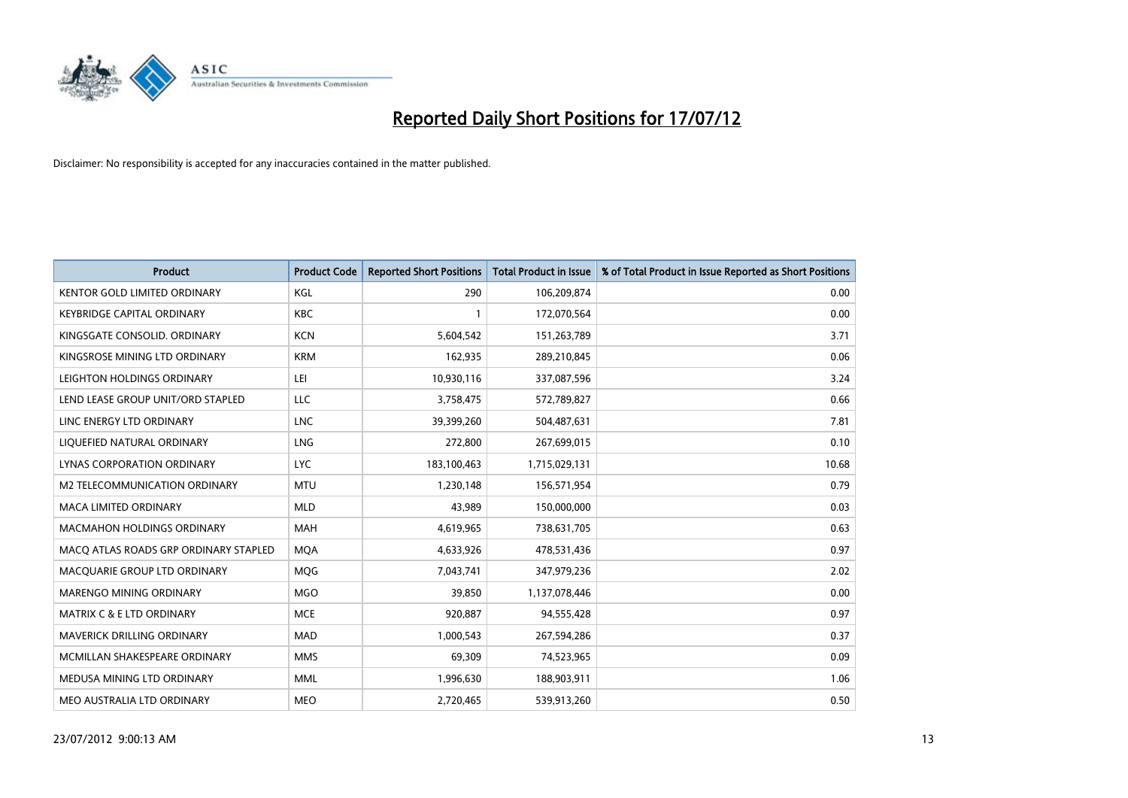

| <b>Product</b>                        | <b>Product Code</b> | <b>Reported Short Positions</b> | <b>Total Product in Issue</b> | % of Total Product in Issue Reported as Short Positions |
|---------------------------------------|---------------------|---------------------------------|-------------------------------|---------------------------------------------------------|
| <b>KENTOR GOLD LIMITED ORDINARY</b>   | KGL                 | 290                             | 106,209,874                   | 0.00                                                    |
| KEYBRIDGE CAPITAL ORDINARY            | <b>KBC</b>          |                                 | 172,070,564                   | 0.00                                                    |
| KINGSGATE CONSOLID. ORDINARY          | <b>KCN</b>          | 5,604,542                       | 151,263,789                   | 3.71                                                    |
| KINGSROSE MINING LTD ORDINARY         | <b>KRM</b>          | 162,935                         | 289,210,845                   | 0.06                                                    |
| LEIGHTON HOLDINGS ORDINARY            | LEI                 | 10,930,116                      | 337,087,596                   | 3.24                                                    |
| LEND LEASE GROUP UNIT/ORD STAPLED     | LLC                 | 3,758,475                       | 572,789,827                   | 0.66                                                    |
| LINC ENERGY LTD ORDINARY              | <b>LNC</b>          | 39,399,260                      | 504,487,631                   | 7.81                                                    |
| LIQUEFIED NATURAL ORDINARY            | <b>LNG</b>          | 272,800                         | 267,699,015                   | 0.10                                                    |
| LYNAS CORPORATION ORDINARY            | <b>LYC</b>          | 183,100,463                     | 1,715,029,131                 | 10.68                                                   |
| <b>M2 TELECOMMUNICATION ORDINARY</b>  | <b>MTU</b>          | 1,230,148                       | 156,571,954                   | 0.79                                                    |
| MACA LIMITED ORDINARY                 | <b>MLD</b>          | 43,989                          | 150,000,000                   | 0.03                                                    |
| MACMAHON HOLDINGS ORDINARY            | <b>MAH</b>          | 4,619,965                       | 738,631,705                   | 0.63                                                    |
| MACO ATLAS ROADS GRP ORDINARY STAPLED | <b>MOA</b>          | 4,633,926                       | 478,531,436                   | 0.97                                                    |
| MACQUARIE GROUP LTD ORDINARY          | <b>MOG</b>          | 7,043,741                       | 347,979,236                   | 2.02                                                    |
| <b>MARENGO MINING ORDINARY</b>        | <b>MGO</b>          | 39,850                          | 1,137,078,446                 | 0.00                                                    |
| MATRIX C & E LTD ORDINARY             | <b>MCE</b>          | 920,887                         | 94,555,428                    | 0.97                                                    |
| MAVERICK DRILLING ORDINARY            | <b>MAD</b>          | 1,000,543                       | 267,594,286                   | 0.37                                                    |
| MCMILLAN SHAKESPEARE ORDINARY         | <b>MMS</b>          | 69,309                          | 74,523,965                    | 0.09                                                    |
| MEDUSA MINING LTD ORDINARY            | <b>MML</b>          | 1,996,630                       | 188,903,911                   | 1.06                                                    |
| MEO AUSTRALIA LTD ORDINARY            | <b>MEO</b>          | 2,720,465                       | 539,913,260                   | 0.50                                                    |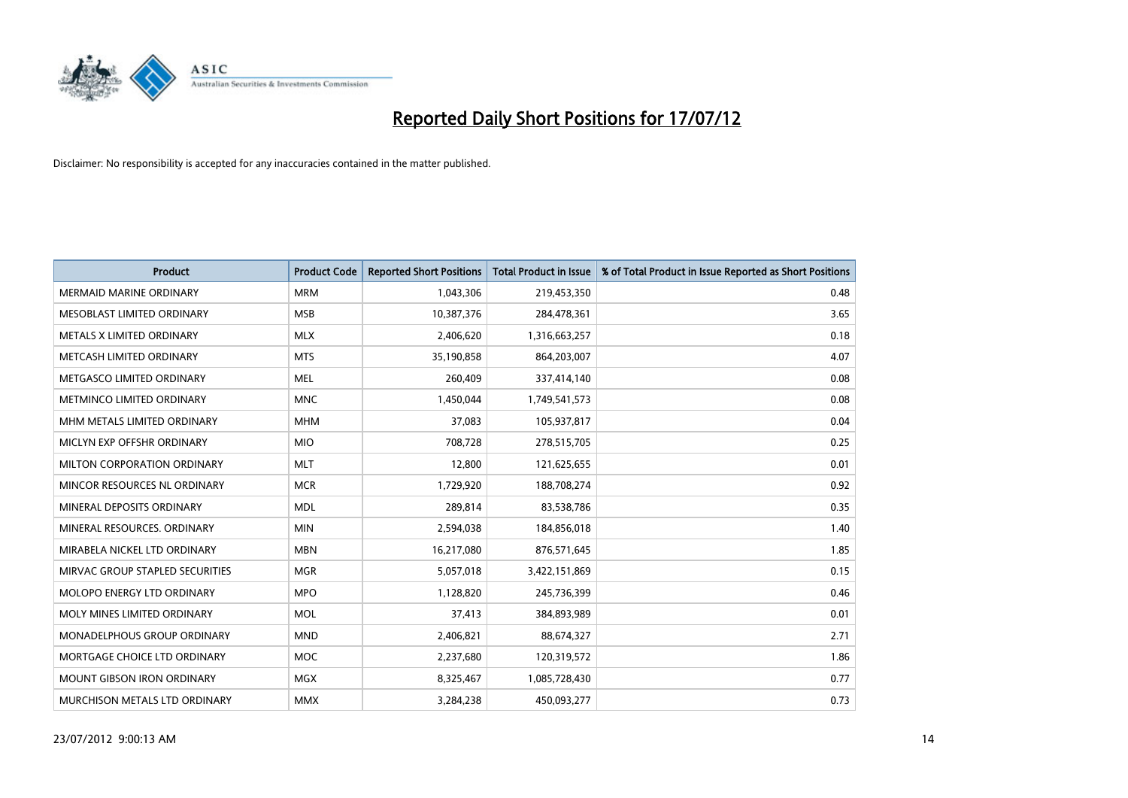

| <b>Product</b>                    | <b>Product Code</b> | <b>Reported Short Positions</b> | <b>Total Product in Issue</b> | % of Total Product in Issue Reported as Short Positions |
|-----------------------------------|---------------------|---------------------------------|-------------------------------|---------------------------------------------------------|
| <b>MERMAID MARINE ORDINARY</b>    | <b>MRM</b>          | 1,043,306                       | 219,453,350                   | 0.48                                                    |
| MESOBLAST LIMITED ORDINARY        | <b>MSB</b>          | 10,387,376                      | 284,478,361                   | 3.65                                                    |
| METALS X LIMITED ORDINARY         | <b>MLX</b>          | 2,406,620                       | 1,316,663,257                 | 0.18                                                    |
| METCASH LIMITED ORDINARY          | <b>MTS</b>          | 35,190,858                      | 864,203,007                   | 4.07                                                    |
| METGASCO LIMITED ORDINARY         | <b>MEL</b>          | 260,409                         | 337,414,140                   | 0.08                                                    |
| METMINCO LIMITED ORDINARY         | <b>MNC</b>          | 1,450,044                       | 1,749,541,573                 | 0.08                                                    |
| MHM METALS LIMITED ORDINARY       | <b>MHM</b>          | 37,083                          | 105,937,817                   | 0.04                                                    |
| MICLYN EXP OFFSHR ORDINARY        | <b>MIO</b>          | 708,728                         | 278,515,705                   | 0.25                                                    |
| MILTON CORPORATION ORDINARY       | <b>MLT</b>          | 12,800                          | 121,625,655                   | 0.01                                                    |
| MINCOR RESOURCES NL ORDINARY      | <b>MCR</b>          | 1,729,920                       | 188,708,274                   | 0.92                                                    |
| MINERAL DEPOSITS ORDINARY         | <b>MDL</b>          | 289,814                         | 83,538,786                    | 0.35                                                    |
| MINERAL RESOURCES, ORDINARY       | <b>MIN</b>          | 2,594,038                       | 184,856,018                   | 1.40                                                    |
| MIRABELA NICKEL LTD ORDINARY      | <b>MBN</b>          | 16,217,080                      | 876,571,645                   | 1.85                                                    |
| MIRVAC GROUP STAPLED SECURITIES   | <b>MGR</b>          | 5,057,018                       | 3,422,151,869                 | 0.15                                                    |
| <b>MOLOPO ENERGY LTD ORDINARY</b> | <b>MPO</b>          | 1,128,820                       | 245,736,399                   | 0.46                                                    |
| MOLY MINES LIMITED ORDINARY       | <b>MOL</b>          | 37,413                          | 384,893,989                   | 0.01                                                    |
| MONADELPHOUS GROUP ORDINARY       | <b>MND</b>          | 2,406,821                       | 88,674,327                    | 2.71                                                    |
| MORTGAGE CHOICE LTD ORDINARY      | <b>MOC</b>          | 2,237,680                       | 120,319,572                   | 1.86                                                    |
| <b>MOUNT GIBSON IRON ORDINARY</b> | <b>MGX</b>          | 8,325,467                       | 1,085,728,430                 | 0.77                                                    |
| MURCHISON METALS LTD ORDINARY     | <b>MMX</b>          | 3,284,238                       | 450,093,277                   | 0.73                                                    |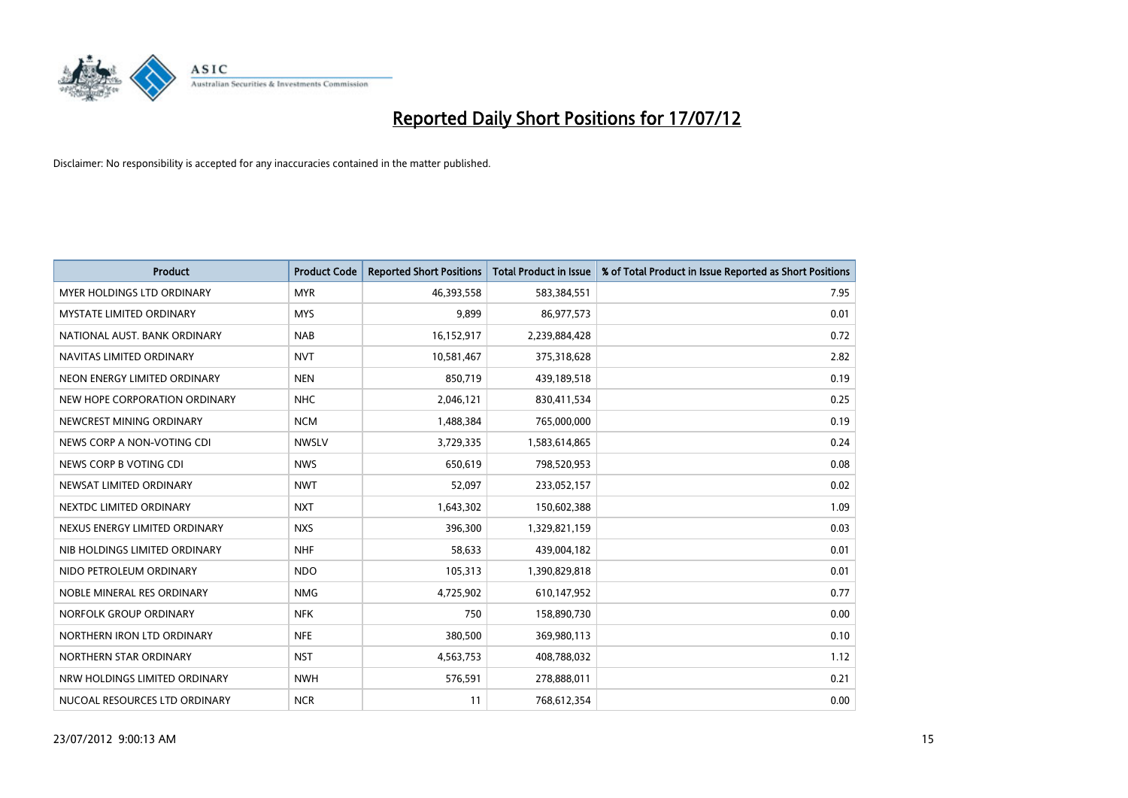

| <b>Product</b>                    | <b>Product Code</b> | <b>Reported Short Positions</b> | <b>Total Product in Issue</b> | % of Total Product in Issue Reported as Short Positions |
|-----------------------------------|---------------------|---------------------------------|-------------------------------|---------------------------------------------------------|
| <b>MYER HOLDINGS LTD ORDINARY</b> | <b>MYR</b>          | 46,393,558                      | 583,384,551                   | 7.95                                                    |
| MYSTATE LIMITED ORDINARY          | <b>MYS</b>          | 9,899                           | 86,977,573                    | 0.01                                                    |
| NATIONAL AUST, BANK ORDINARY      | <b>NAB</b>          | 16,152,917                      | 2,239,884,428                 | 0.72                                                    |
| NAVITAS LIMITED ORDINARY          | <b>NVT</b>          | 10,581,467                      | 375,318,628                   | 2.82                                                    |
| NEON ENERGY LIMITED ORDINARY      | <b>NEN</b>          | 850,719                         | 439,189,518                   | 0.19                                                    |
| NEW HOPE CORPORATION ORDINARY     | <b>NHC</b>          | 2,046,121                       | 830,411,534                   | 0.25                                                    |
| NEWCREST MINING ORDINARY          | <b>NCM</b>          | 1,488,384                       | 765,000,000                   | 0.19                                                    |
| NEWS CORP A NON-VOTING CDI        | <b>NWSLV</b>        | 3,729,335                       | 1,583,614,865                 | 0.24                                                    |
| NEWS CORP B VOTING CDI            | <b>NWS</b>          | 650.619                         | 798,520,953                   | 0.08                                                    |
| NEWSAT LIMITED ORDINARY           | <b>NWT</b>          | 52,097                          | 233,052,157                   | 0.02                                                    |
| NEXTDC LIMITED ORDINARY           | <b>NXT</b>          | 1,643,302                       | 150,602,388                   | 1.09                                                    |
| NEXUS ENERGY LIMITED ORDINARY     | <b>NXS</b>          | 396,300                         | 1,329,821,159                 | 0.03                                                    |
| NIB HOLDINGS LIMITED ORDINARY     | <b>NHF</b>          | 58,633                          | 439,004,182                   | 0.01                                                    |
| NIDO PETROLEUM ORDINARY           | <b>NDO</b>          | 105,313                         | 1,390,829,818                 | 0.01                                                    |
| NOBLE MINERAL RES ORDINARY        | <b>NMG</b>          | 4,725,902                       | 610,147,952                   | 0.77                                                    |
| NORFOLK GROUP ORDINARY            | <b>NFK</b>          | 750                             | 158,890,730                   | 0.00                                                    |
| NORTHERN IRON LTD ORDINARY        | <b>NFE</b>          | 380,500                         | 369,980,113                   | 0.10                                                    |
| NORTHERN STAR ORDINARY            | <b>NST</b>          | 4,563,753                       | 408,788,032                   | 1.12                                                    |
| NRW HOLDINGS LIMITED ORDINARY     | <b>NWH</b>          | 576,591                         | 278,888,011                   | 0.21                                                    |
| NUCOAL RESOURCES LTD ORDINARY     | <b>NCR</b>          | 11                              | 768,612,354                   | 0.00                                                    |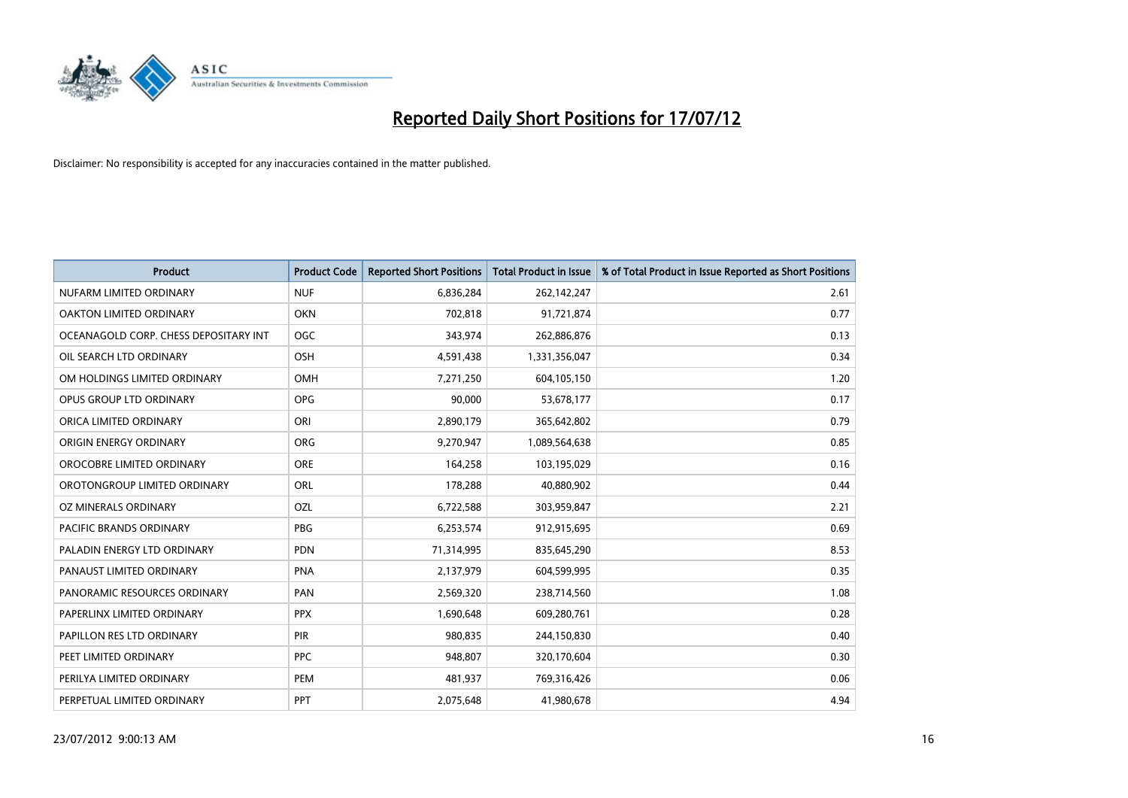

| <b>Product</b>                        | <b>Product Code</b> | <b>Reported Short Positions</b> | <b>Total Product in Issue</b> | % of Total Product in Issue Reported as Short Positions |
|---------------------------------------|---------------------|---------------------------------|-------------------------------|---------------------------------------------------------|
| NUFARM LIMITED ORDINARY               | <b>NUF</b>          | 6,836,284                       | 262,142,247                   | 2.61                                                    |
| OAKTON LIMITED ORDINARY               | <b>OKN</b>          | 702,818                         | 91,721,874                    | 0.77                                                    |
| OCEANAGOLD CORP. CHESS DEPOSITARY INT | <b>OGC</b>          | 343,974                         | 262,886,876                   | 0.13                                                    |
| OIL SEARCH LTD ORDINARY               | <b>OSH</b>          | 4,591,438                       | 1,331,356,047                 | 0.34                                                    |
| OM HOLDINGS LIMITED ORDINARY          | <b>OMH</b>          | 7,271,250                       | 604,105,150                   | 1.20                                                    |
| OPUS GROUP LTD ORDINARY               | <b>OPG</b>          | 90,000                          | 53,678,177                    | 0.17                                                    |
| ORICA LIMITED ORDINARY                | ORI                 | 2,890,179                       | 365,642,802                   | 0.79                                                    |
| ORIGIN ENERGY ORDINARY                | <b>ORG</b>          | 9,270,947                       | 1,089,564,638                 | 0.85                                                    |
| OROCOBRE LIMITED ORDINARY             | <b>ORE</b>          | 164,258                         | 103,195,029                   | 0.16                                                    |
| OROTONGROUP LIMITED ORDINARY          | <b>ORL</b>          | 178,288                         | 40,880,902                    | 0.44                                                    |
| OZ MINERALS ORDINARY                  | OZL                 | 6,722,588                       | 303,959,847                   | 2.21                                                    |
| PACIFIC BRANDS ORDINARY               | <b>PBG</b>          | 6,253,574                       | 912,915,695                   | 0.69                                                    |
| PALADIN ENERGY LTD ORDINARY           | <b>PDN</b>          | 71,314,995                      | 835,645,290                   | 8.53                                                    |
| PANAUST LIMITED ORDINARY              | <b>PNA</b>          | 2,137,979                       | 604,599,995                   | 0.35                                                    |
| PANORAMIC RESOURCES ORDINARY          | PAN                 | 2,569,320                       | 238,714,560                   | 1.08                                                    |
| PAPERLINX LIMITED ORDINARY            | <b>PPX</b>          | 1,690,648                       | 609,280,761                   | 0.28                                                    |
| PAPILLON RES LTD ORDINARY             | PIR                 | 980,835                         | 244,150,830                   | 0.40                                                    |
| PEET LIMITED ORDINARY                 | <b>PPC</b>          | 948,807                         | 320,170,604                   | 0.30                                                    |
| PERILYA LIMITED ORDINARY              | PEM                 | 481,937                         | 769,316,426                   | 0.06                                                    |
| PERPETUAL LIMITED ORDINARY            | <b>PPT</b>          | 2,075,648                       | 41,980,678                    | 4.94                                                    |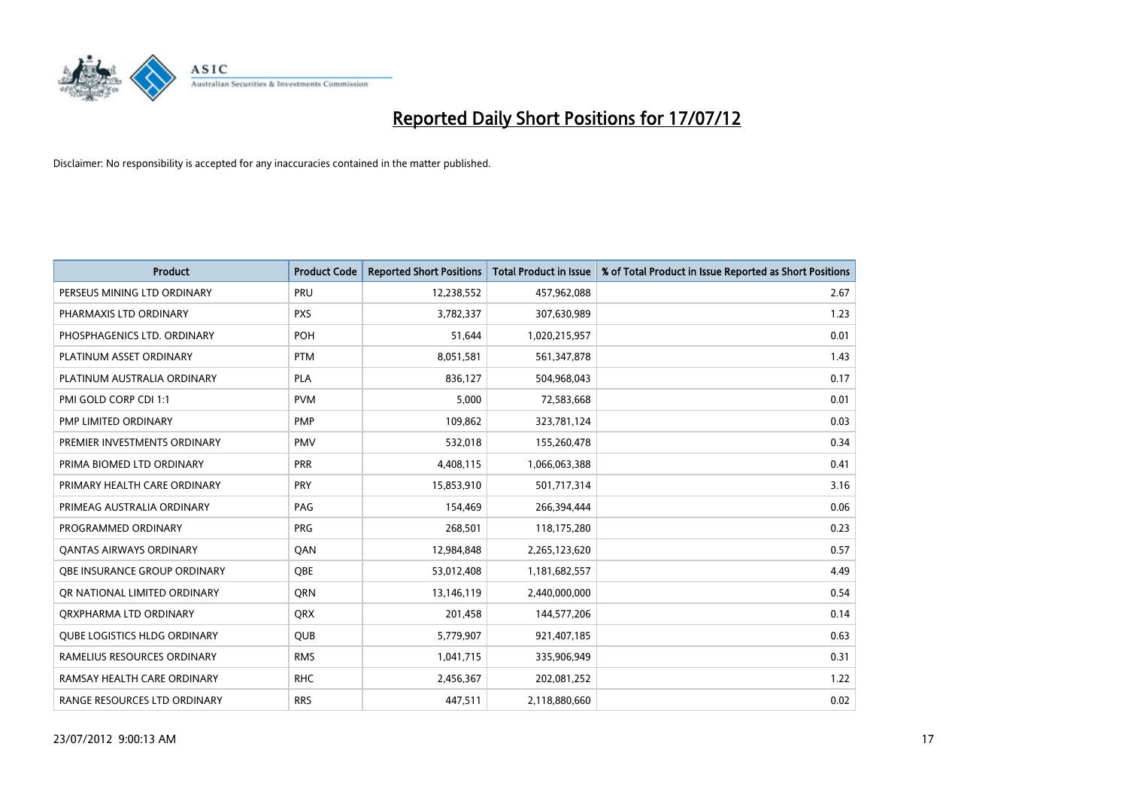

| <b>Product</b>                      | <b>Product Code</b> | <b>Reported Short Positions</b> | <b>Total Product in Issue</b> | % of Total Product in Issue Reported as Short Positions |
|-------------------------------------|---------------------|---------------------------------|-------------------------------|---------------------------------------------------------|
| PERSEUS MINING LTD ORDINARY         | PRU                 | 12,238,552                      | 457,962,088                   | 2.67                                                    |
| PHARMAXIS LTD ORDINARY              | <b>PXS</b>          | 3,782,337                       | 307,630,989                   | 1.23                                                    |
| PHOSPHAGENICS LTD. ORDINARY         | <b>POH</b>          | 51,644                          | 1,020,215,957                 | 0.01                                                    |
| PLATINUM ASSET ORDINARY             | <b>PTM</b>          | 8,051,581                       | 561,347,878                   | 1.43                                                    |
| PLATINUM AUSTRALIA ORDINARY         | <b>PLA</b>          | 836,127                         | 504,968,043                   | 0.17                                                    |
| PMI GOLD CORP CDI 1:1               | <b>PVM</b>          | 5,000                           | 72,583,668                    | 0.01                                                    |
| PMP LIMITED ORDINARY                | <b>PMP</b>          | 109,862                         | 323,781,124                   | 0.03                                                    |
| PREMIER INVESTMENTS ORDINARY        | <b>PMV</b>          | 532,018                         | 155,260,478                   | 0.34                                                    |
| PRIMA BIOMED LTD ORDINARY           | <b>PRR</b>          | 4,408,115                       | 1,066,063,388                 | 0.41                                                    |
| PRIMARY HEALTH CARE ORDINARY        | <b>PRY</b>          | 15,853,910                      | 501,717,314                   | 3.16                                                    |
| PRIMEAG AUSTRALIA ORDINARY          | PAG                 | 154,469                         | 266,394,444                   | 0.06                                                    |
| PROGRAMMED ORDINARY                 | <b>PRG</b>          | 268,501                         | 118,175,280                   | 0.23                                                    |
| <b>QANTAS AIRWAYS ORDINARY</b>      | QAN                 | 12,984,848                      | 2,265,123,620                 | 0.57                                                    |
| OBE INSURANCE GROUP ORDINARY        | <b>OBE</b>          | 53,012,408                      | 1,181,682,557                 | 4.49                                                    |
| OR NATIONAL LIMITED ORDINARY        | <b>ORN</b>          | 13,146,119                      | 2,440,000,000                 | 0.54                                                    |
| ORXPHARMA LTD ORDINARY              | <b>ORX</b>          | 201,458                         | 144,577,206                   | 0.14                                                    |
| <b>QUBE LOGISTICS HLDG ORDINARY</b> | <b>QUB</b>          | 5,779,907                       | 921,407,185                   | 0.63                                                    |
| RAMELIUS RESOURCES ORDINARY         | <b>RMS</b>          | 1,041,715                       | 335,906,949                   | 0.31                                                    |
| RAMSAY HEALTH CARE ORDINARY         | <b>RHC</b>          | 2,456,367                       | 202,081,252                   | 1.22                                                    |
| RANGE RESOURCES LTD ORDINARY        | <b>RRS</b>          | 447,511                         | 2,118,880,660                 | 0.02                                                    |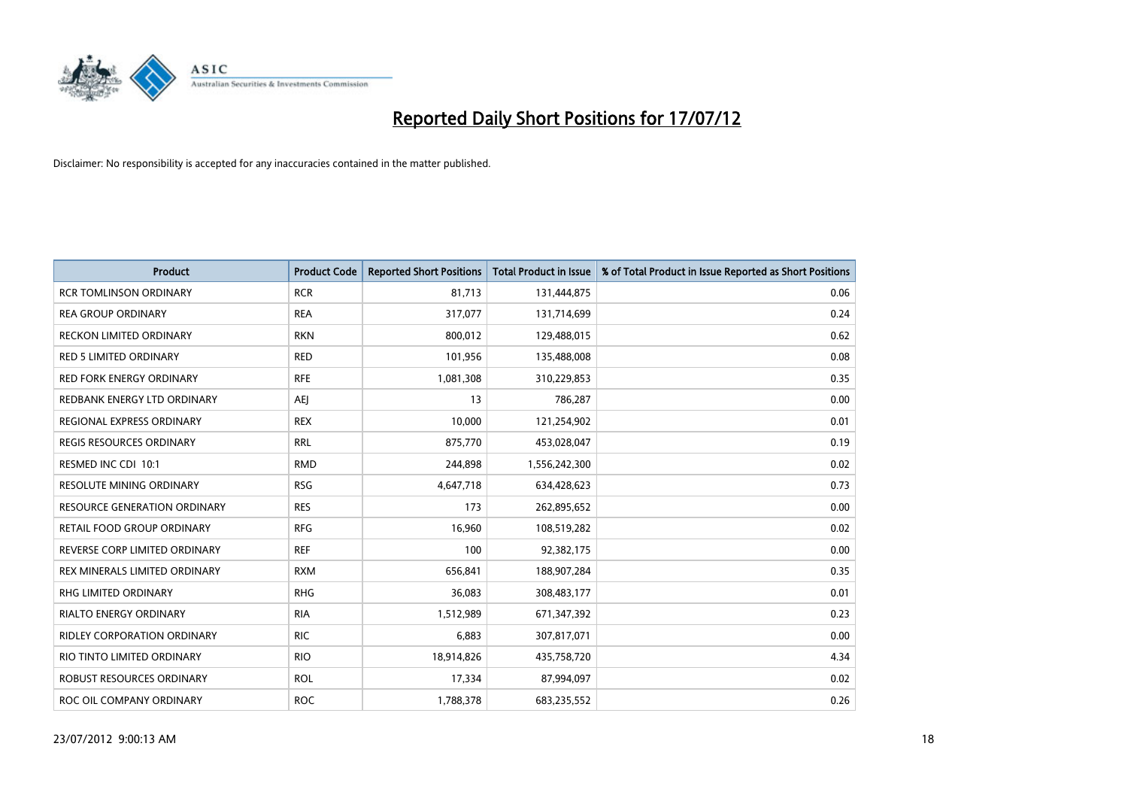

| <b>Product</b>                  | <b>Product Code</b> | <b>Reported Short Positions</b> | <b>Total Product in Issue</b> | % of Total Product in Issue Reported as Short Positions |
|---------------------------------|---------------------|---------------------------------|-------------------------------|---------------------------------------------------------|
| <b>RCR TOMLINSON ORDINARY</b>   | <b>RCR</b>          | 81,713                          | 131,444,875                   | 0.06                                                    |
| <b>REA GROUP ORDINARY</b>       | <b>REA</b>          | 317,077                         | 131,714,699                   | 0.24                                                    |
| <b>RECKON LIMITED ORDINARY</b>  | <b>RKN</b>          | 800,012                         | 129,488,015                   | 0.62                                                    |
| RED 5 LIMITED ORDINARY          | <b>RED</b>          | 101,956                         | 135,488,008                   | 0.08                                                    |
| <b>RED FORK ENERGY ORDINARY</b> | <b>RFE</b>          | 1,081,308                       | 310,229,853                   | 0.35                                                    |
| REDBANK ENERGY LTD ORDINARY     | AEI                 | 13                              | 786,287                       | 0.00                                                    |
| REGIONAL EXPRESS ORDINARY       | <b>REX</b>          | 10,000                          | 121,254,902                   | 0.01                                                    |
| REGIS RESOURCES ORDINARY        | <b>RRL</b>          | 875,770                         | 453,028,047                   | 0.19                                                    |
| RESMED INC CDI 10:1             | <b>RMD</b>          | 244,898                         | 1,556,242,300                 | 0.02                                                    |
| <b>RESOLUTE MINING ORDINARY</b> | <b>RSG</b>          | 4,647,718                       | 634,428,623                   | 0.73                                                    |
| RESOURCE GENERATION ORDINARY    | <b>RES</b>          | 173                             | 262,895,652                   | 0.00                                                    |
| RETAIL FOOD GROUP ORDINARY      | <b>RFG</b>          | 16,960                          | 108,519,282                   | 0.02                                                    |
| REVERSE CORP LIMITED ORDINARY   | <b>REF</b>          | 100                             | 92,382,175                    | 0.00                                                    |
| REX MINERALS LIMITED ORDINARY   | <b>RXM</b>          | 656,841                         | 188,907,284                   | 0.35                                                    |
| <b>RHG LIMITED ORDINARY</b>     | <b>RHG</b>          | 36,083                          | 308,483,177                   | 0.01                                                    |
| RIALTO ENERGY ORDINARY          | <b>RIA</b>          | 1,512,989                       | 671,347,392                   | 0.23                                                    |
| RIDLEY CORPORATION ORDINARY     | <b>RIC</b>          | 6,883                           | 307,817,071                   | 0.00                                                    |
| RIO TINTO LIMITED ORDINARY      | <b>RIO</b>          | 18,914,826                      | 435,758,720                   | 4.34                                                    |
| ROBUST RESOURCES ORDINARY       | <b>ROL</b>          | 17,334                          | 87,994,097                    | 0.02                                                    |
| ROC OIL COMPANY ORDINARY        | <b>ROC</b>          | 1,788,378                       | 683,235,552                   | 0.26                                                    |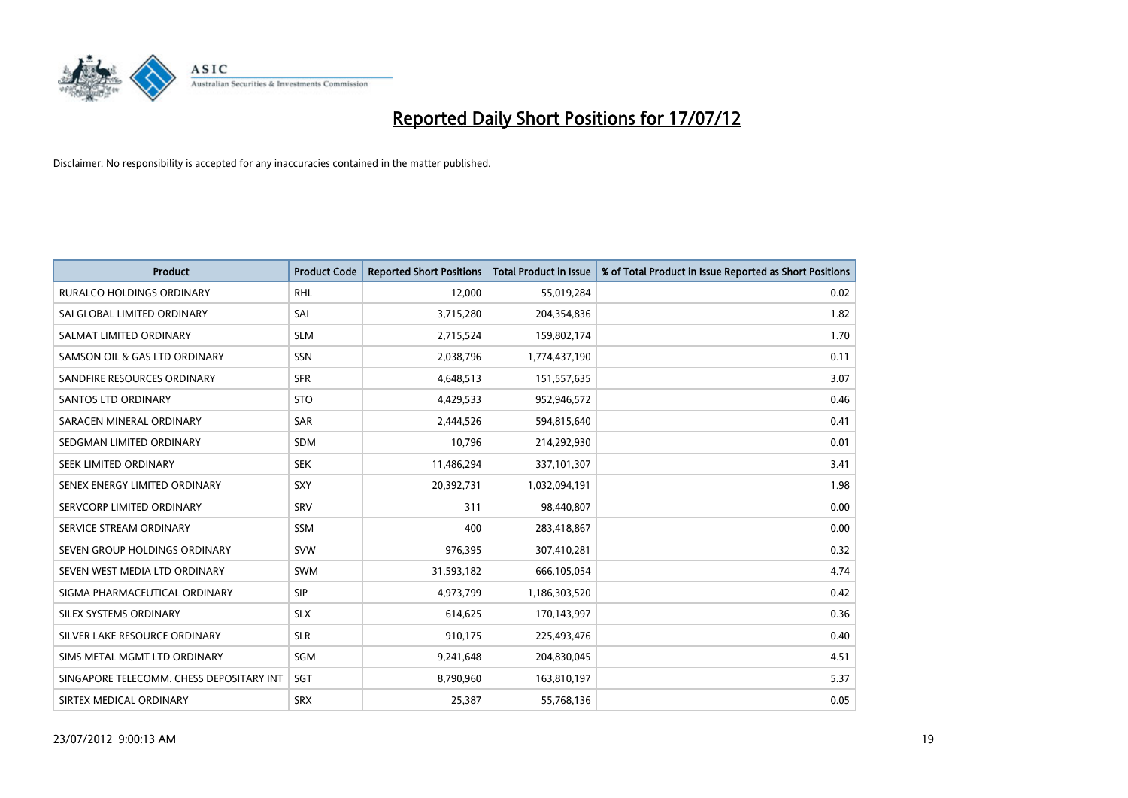

| <b>Product</b>                           | <b>Product Code</b> | <b>Reported Short Positions</b> | <b>Total Product in Issue</b> | % of Total Product in Issue Reported as Short Positions |
|------------------------------------------|---------------------|---------------------------------|-------------------------------|---------------------------------------------------------|
| <b>RURALCO HOLDINGS ORDINARY</b>         | <b>RHL</b>          | 12,000                          | 55,019,284                    | 0.02                                                    |
| SAI GLOBAL LIMITED ORDINARY              | SAI                 | 3,715,280                       | 204,354,836                   | 1.82                                                    |
| SALMAT LIMITED ORDINARY                  | <b>SLM</b>          | 2,715,524                       | 159,802,174                   | 1.70                                                    |
| SAMSON OIL & GAS LTD ORDINARY            | SSN                 | 2,038,796                       | 1,774,437,190                 | 0.11                                                    |
| SANDFIRE RESOURCES ORDINARY              | <b>SFR</b>          | 4,648,513                       | 151,557,635                   | 3.07                                                    |
| <b>SANTOS LTD ORDINARY</b>               | <b>STO</b>          | 4,429,533                       | 952,946,572                   | 0.46                                                    |
| SARACEN MINERAL ORDINARY                 | <b>SAR</b>          | 2,444,526                       | 594,815,640                   | 0.41                                                    |
| SEDGMAN LIMITED ORDINARY                 | <b>SDM</b>          | 10,796                          | 214,292,930                   | 0.01                                                    |
| SEEK LIMITED ORDINARY                    | <b>SEK</b>          | 11,486,294                      | 337,101,307                   | 3.41                                                    |
| SENEX ENERGY LIMITED ORDINARY            | <b>SXY</b>          | 20,392,731                      | 1,032,094,191                 | 1.98                                                    |
| SERVCORP LIMITED ORDINARY                | SRV                 | 311                             | 98,440,807                    | 0.00                                                    |
| SERVICE STREAM ORDINARY                  | <b>SSM</b>          | 400                             | 283,418,867                   | 0.00                                                    |
| SEVEN GROUP HOLDINGS ORDINARY            | <b>SVW</b>          | 976,395                         | 307,410,281                   | 0.32                                                    |
| SEVEN WEST MEDIA LTD ORDINARY            | <b>SWM</b>          | 31,593,182                      | 666,105,054                   | 4.74                                                    |
| SIGMA PHARMACEUTICAL ORDINARY            | <b>SIP</b>          | 4,973,799                       | 1,186,303,520                 | 0.42                                                    |
| SILEX SYSTEMS ORDINARY                   | <b>SLX</b>          | 614,625                         | 170,143,997                   | 0.36                                                    |
| SILVER LAKE RESOURCE ORDINARY            | <b>SLR</b>          | 910,175                         | 225,493,476                   | 0.40                                                    |
| SIMS METAL MGMT LTD ORDINARY             | SGM                 | 9,241,648                       | 204,830,045                   | 4.51                                                    |
| SINGAPORE TELECOMM. CHESS DEPOSITARY INT | SGT                 | 8,790,960                       | 163,810,197                   | 5.37                                                    |
| SIRTEX MEDICAL ORDINARY                  | <b>SRX</b>          | 25,387                          | 55,768,136                    | 0.05                                                    |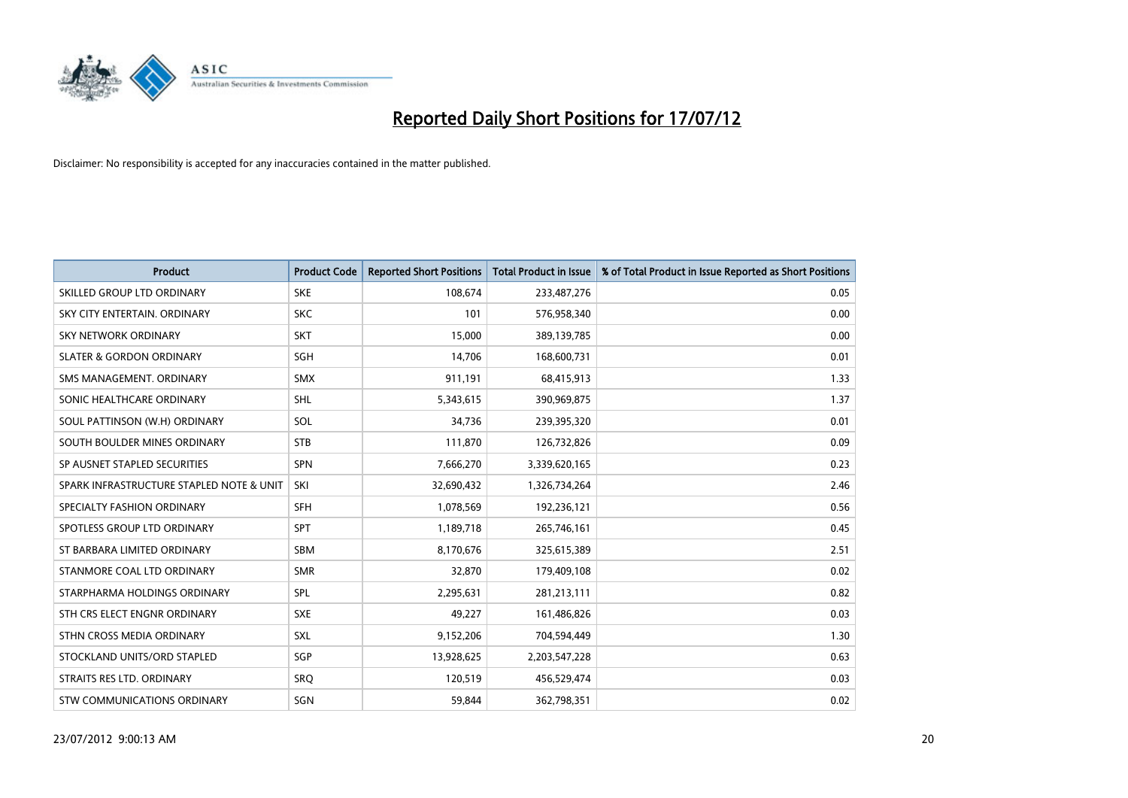

| <b>Product</b>                           | <b>Product Code</b> | <b>Reported Short Positions</b> | <b>Total Product in Issue</b> | % of Total Product in Issue Reported as Short Positions |
|------------------------------------------|---------------------|---------------------------------|-------------------------------|---------------------------------------------------------|
| SKILLED GROUP LTD ORDINARY               | <b>SKE</b>          | 108,674                         | 233,487,276                   | 0.05                                                    |
| SKY CITY ENTERTAIN, ORDINARY             | <b>SKC</b>          | 101                             | 576,958,340                   | 0.00                                                    |
| <b>SKY NETWORK ORDINARY</b>              | <b>SKT</b>          | 15,000                          | 389,139,785                   | 0.00                                                    |
| <b>SLATER &amp; GORDON ORDINARY</b>      | SGH                 | 14,706                          | 168,600,731                   | 0.01                                                    |
| SMS MANAGEMENT, ORDINARY                 | <b>SMX</b>          | 911,191                         | 68,415,913                    | 1.33                                                    |
| SONIC HEALTHCARE ORDINARY                | <b>SHL</b>          | 5,343,615                       | 390,969,875                   | 1.37                                                    |
| SOUL PATTINSON (W.H) ORDINARY            | SOL                 | 34,736                          | 239,395,320                   | 0.01                                                    |
| SOUTH BOULDER MINES ORDINARY             | <b>STB</b>          | 111,870                         | 126,732,826                   | 0.09                                                    |
| SP AUSNET STAPLED SECURITIES             | <b>SPN</b>          | 7,666,270                       | 3,339,620,165                 | 0.23                                                    |
| SPARK INFRASTRUCTURE STAPLED NOTE & UNIT | SKI                 | 32,690,432                      | 1,326,734,264                 | 2.46                                                    |
| SPECIALTY FASHION ORDINARY               | <b>SFH</b>          | 1,078,569                       | 192,236,121                   | 0.56                                                    |
| SPOTLESS GROUP LTD ORDINARY              | <b>SPT</b>          | 1,189,718                       | 265,746,161                   | 0.45                                                    |
| ST BARBARA LIMITED ORDINARY              | <b>SBM</b>          | 8,170,676                       | 325,615,389                   | 2.51                                                    |
| STANMORE COAL LTD ORDINARY               | <b>SMR</b>          | 32,870                          | 179,409,108                   | 0.02                                                    |
| STARPHARMA HOLDINGS ORDINARY             | SPL                 | 2,295,631                       | 281,213,111                   | 0.82                                                    |
| STH CRS ELECT ENGNR ORDINARY             | <b>SXE</b>          | 49,227                          | 161,486,826                   | 0.03                                                    |
| STHN CROSS MEDIA ORDINARY                | <b>SXL</b>          | 9,152,206                       | 704,594,449                   | 1.30                                                    |
| STOCKLAND UNITS/ORD STAPLED              | SGP                 | 13,928,625                      | 2,203,547,228                 | 0.63                                                    |
| STRAITS RES LTD. ORDINARY                | SRO                 | 120,519                         | 456,529,474                   | 0.03                                                    |
| STW COMMUNICATIONS ORDINARY              | SGN                 | 59,844                          | 362,798,351                   | 0.02                                                    |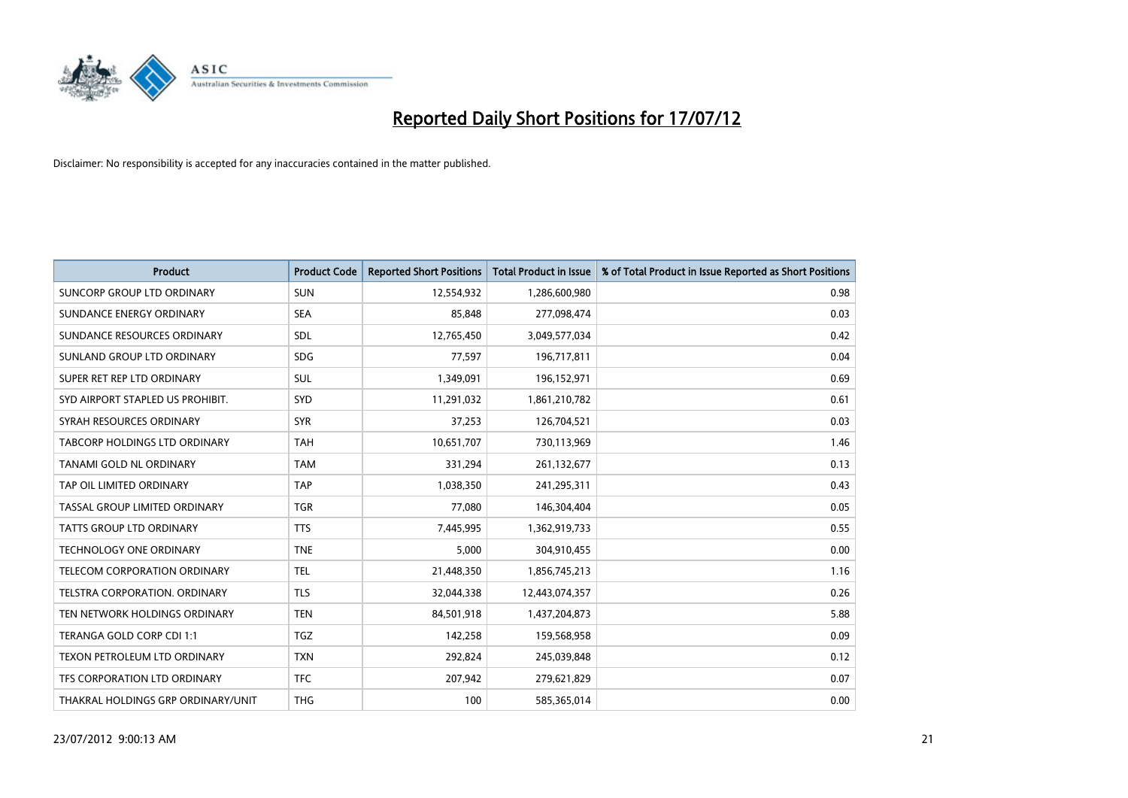

| <b>Product</b>                       | <b>Product Code</b> | <b>Reported Short Positions</b> | <b>Total Product in Issue</b> | % of Total Product in Issue Reported as Short Positions |
|--------------------------------------|---------------------|---------------------------------|-------------------------------|---------------------------------------------------------|
| <b>SUNCORP GROUP LTD ORDINARY</b>    | <b>SUN</b>          | 12,554,932                      | 1,286,600,980                 | 0.98                                                    |
| SUNDANCE ENERGY ORDINARY             | <b>SEA</b>          | 85,848                          | 277,098,474                   | 0.03                                                    |
| SUNDANCE RESOURCES ORDINARY          | <b>SDL</b>          | 12,765,450                      | 3,049,577,034                 | 0.42                                                    |
| SUNLAND GROUP LTD ORDINARY           | <b>SDG</b>          | 77,597                          | 196,717,811                   | 0.04                                                    |
| SUPER RET REP LTD ORDINARY           | <b>SUL</b>          | 1,349,091                       | 196,152,971                   | 0.69                                                    |
| SYD AIRPORT STAPLED US PROHIBIT.     | SYD                 | 11,291,032                      | 1,861,210,782                 | 0.61                                                    |
| SYRAH RESOURCES ORDINARY             | <b>SYR</b>          | 37,253                          | 126,704,521                   | 0.03                                                    |
| TABCORP HOLDINGS LTD ORDINARY        | <b>TAH</b>          | 10,651,707                      | 730,113,969                   | 1.46                                                    |
| TANAMI GOLD NL ORDINARY              | <b>TAM</b>          | 331,294                         | 261,132,677                   | 0.13                                                    |
| TAP OIL LIMITED ORDINARY             | <b>TAP</b>          | 1,038,350                       | 241,295,311                   | 0.43                                                    |
| TASSAL GROUP LIMITED ORDINARY        | <b>TGR</b>          | 77,080                          | 146,304,404                   | 0.05                                                    |
| <b>TATTS GROUP LTD ORDINARY</b>      | <b>TTS</b>          | 7,445,995                       | 1,362,919,733                 | 0.55                                                    |
| TECHNOLOGY ONE ORDINARY              | <b>TNE</b>          | 5,000                           | 304,910,455                   | 0.00                                                    |
| TELECOM CORPORATION ORDINARY         | <b>TEL</b>          | 21,448,350                      | 1,856,745,213                 | 1.16                                                    |
| <b>TELSTRA CORPORATION, ORDINARY</b> | <b>TLS</b>          | 32,044,338                      | 12,443,074,357                | 0.26                                                    |
| TEN NETWORK HOLDINGS ORDINARY        | <b>TEN</b>          | 84,501,918                      | 1,437,204,873                 | 5.88                                                    |
| TERANGA GOLD CORP CDI 1:1            | <b>TGZ</b>          | 142,258                         | 159,568,958                   | 0.09                                                    |
| TEXON PETROLEUM LTD ORDINARY         | <b>TXN</b>          | 292,824                         | 245,039,848                   | 0.12                                                    |
| <b>TFS CORPORATION LTD ORDINARY</b>  | <b>TFC</b>          | 207,942                         | 279,621,829                   | 0.07                                                    |
| THAKRAL HOLDINGS GRP ORDINARY/UNIT   | <b>THG</b>          | 100                             | 585,365,014                   | 0.00                                                    |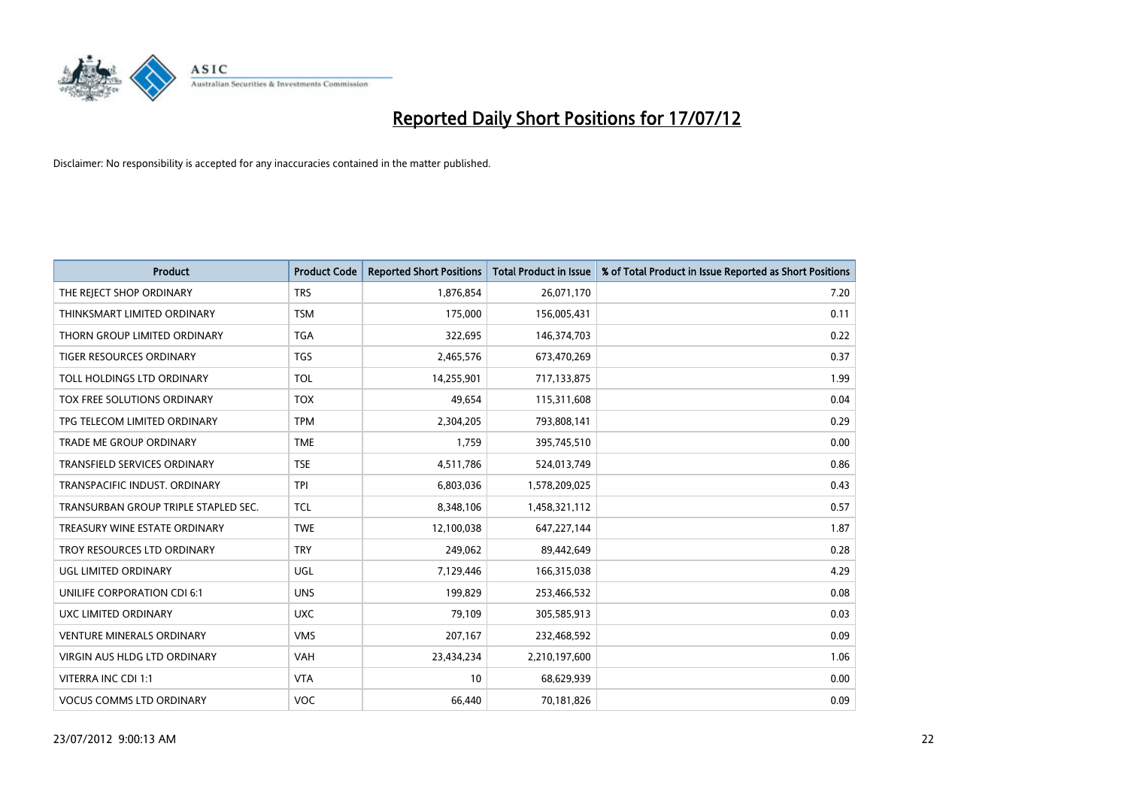

| <b>Product</b>                       | <b>Product Code</b> | <b>Reported Short Positions</b> | <b>Total Product in Issue</b> | % of Total Product in Issue Reported as Short Positions |
|--------------------------------------|---------------------|---------------------------------|-------------------------------|---------------------------------------------------------|
| THE REJECT SHOP ORDINARY             | <b>TRS</b>          | 1,876,854                       | 26,071,170                    | 7.20                                                    |
| THINKSMART LIMITED ORDINARY          | <b>TSM</b>          | 175,000                         | 156,005,431                   | 0.11                                                    |
| THORN GROUP LIMITED ORDINARY         | <b>TGA</b>          | 322,695                         | 146,374,703                   | 0.22                                                    |
| TIGER RESOURCES ORDINARY             | <b>TGS</b>          | 2,465,576                       | 673,470,269                   | 0.37                                                    |
| TOLL HOLDINGS LTD ORDINARY           | <b>TOL</b>          | 14,255,901                      | 717,133,875                   | 1.99                                                    |
| <b>TOX FREE SOLUTIONS ORDINARY</b>   | <b>TOX</b>          | 49,654                          | 115,311,608                   | 0.04                                                    |
| TPG TELECOM LIMITED ORDINARY         | <b>TPM</b>          | 2,304,205                       | 793,808,141                   | 0.29                                                    |
| TRADE ME GROUP ORDINARY              | <b>TME</b>          | 1,759                           | 395,745,510                   | 0.00                                                    |
| TRANSFIELD SERVICES ORDINARY         | <b>TSE</b>          | 4,511,786                       | 524,013,749                   | 0.86                                                    |
| TRANSPACIFIC INDUST, ORDINARY        | <b>TPI</b>          | 6,803,036                       | 1,578,209,025                 | 0.43                                                    |
| TRANSURBAN GROUP TRIPLE STAPLED SEC. | <b>TCL</b>          | 8,348,106                       | 1,458,321,112                 | 0.57                                                    |
| TREASURY WINE ESTATE ORDINARY        | <b>TWE</b>          | 12,100,038                      | 647,227,144                   | 1.87                                                    |
| TROY RESOURCES LTD ORDINARY          | <b>TRY</b>          | 249,062                         | 89,442,649                    | 0.28                                                    |
| UGL LIMITED ORDINARY                 | UGL                 | 7,129,446                       | 166,315,038                   | 4.29                                                    |
| UNILIFE CORPORATION CDI 6:1          | <b>UNS</b>          | 199,829                         | 253,466,532                   | 0.08                                                    |
| UXC LIMITED ORDINARY                 | <b>UXC</b>          | 79,109                          | 305,585,913                   | 0.03                                                    |
| VENTURE MINERALS ORDINARY            | <b>VMS</b>          | 207,167                         | 232,468,592                   | 0.09                                                    |
| VIRGIN AUS HLDG LTD ORDINARY         | <b>VAH</b>          | 23,434,234                      | 2,210,197,600                 | 1.06                                                    |
| VITERRA INC CDI 1:1                  | <b>VTA</b>          | 10                              | 68,629,939                    | 0.00                                                    |
| <b>VOCUS COMMS LTD ORDINARY</b>      | <b>VOC</b>          | 66,440                          | 70,181,826                    | 0.09                                                    |